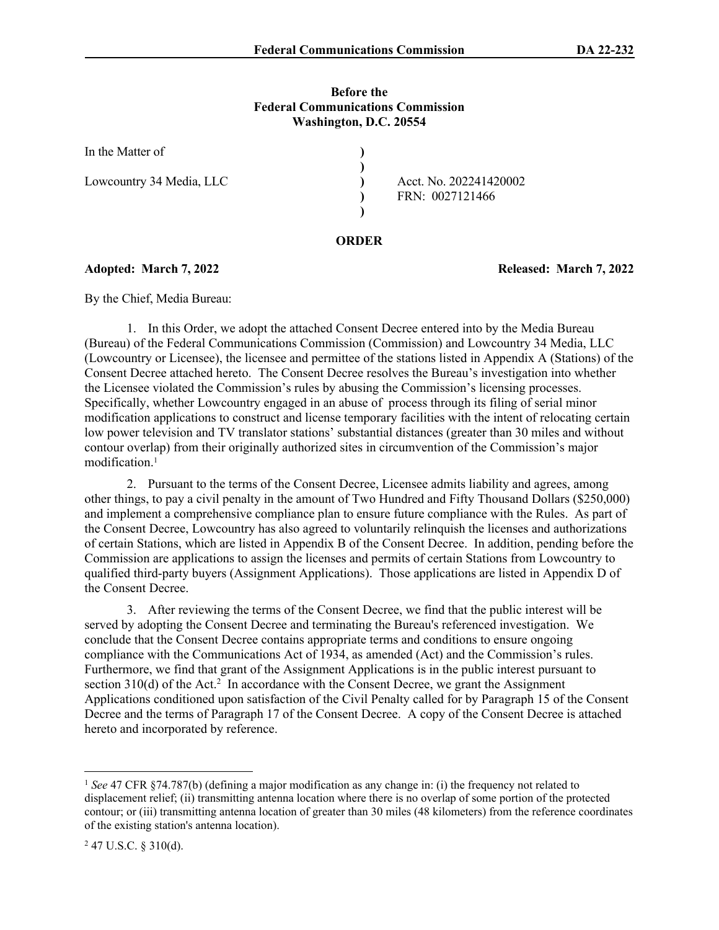#### **Before the Federal Communications Commission Washington, D.C. 20554**

| In the Matter of         |                        |
|--------------------------|------------------------|
|                          |                        |
| Lowcountry 34 Media, LLC | Acct. No. 202241420002 |
|                          | FRN: 0027121466        |
|                          |                        |

#### **ORDER**

**Adopted: March 7, 2022 Released: March 7, 2022**

By the Chief, Media Bureau:

1. In this Order, we adopt the attached Consent Decree entered into by the Media Bureau (Bureau) of the Federal Communications Commission (Commission) and Lowcountry 34 Media, LLC (Lowcountry or Licensee), the licensee and permittee of the stations listed in Appendix A (Stations) of the Consent Decree attached hereto. The Consent Decree resolves the Bureau's investigation into whether the Licensee violated the Commission's rules by abusing the Commission's licensing processes. Specifically, whether Lowcountry engaged in an abuse of process through its filing of serial minor modification applications to construct and license temporary facilities with the intent of relocating certain low power television and TV translator stations' substantial distances (greater than 30 miles and without contour overlap) from their originally authorized sites in circumvention of the Commission's major modification.<sup>1</sup>

2. Pursuant to the terms of the Consent Decree, Licensee admits liability and agrees, among other things, to pay a civil penalty in the amount of Two Hundred and Fifty Thousand Dollars (\$250,000) and implement a comprehensive compliance plan to ensure future compliance with the Rules. As part of the Consent Decree, Lowcountry has also agreed to voluntarily relinquish the licenses and authorizations of certain Stations, which are listed in Appendix B of the Consent Decree. In addition, pending before the Commission are applications to assign the licenses and permits of certain Stations from Lowcountry to qualified third-party buyers (Assignment Applications). Those applications are listed in Appendix D of the Consent Decree.

3. After reviewing the terms of the Consent Decree, we find that the public interest will be served by adopting the Consent Decree and terminating the Bureau's referenced investigation. We conclude that the Consent Decree contains appropriate terms and conditions to ensure ongoing compliance with the Communications Act of 1934, as amended (Act) and the Commission's rules. Furthermore, we find that grant of the Assignment Applications is in the public interest pursuant to section  $310(d)$  of the Act.<sup>2</sup> In accordance with the Consent Decree, we grant the Assignment Applications conditioned upon satisfaction of the Civil Penalty called for by Paragraph 15 of the Consent Decree and the terms of Paragraph 17 of the Consent Decree. A copy of the Consent Decree is attached hereto and incorporated by reference.

<sup>1</sup> *See* 47 CFR §74.787(b) (defining a major modification as any change in: (i) the frequency not related to displacement relief; (ii) transmitting antenna location where there is no overlap of some portion of the protected contour; or (iii) transmitting antenna location of greater than 30 miles (48 kilometers) from the reference coordinates of the existing station's antenna location).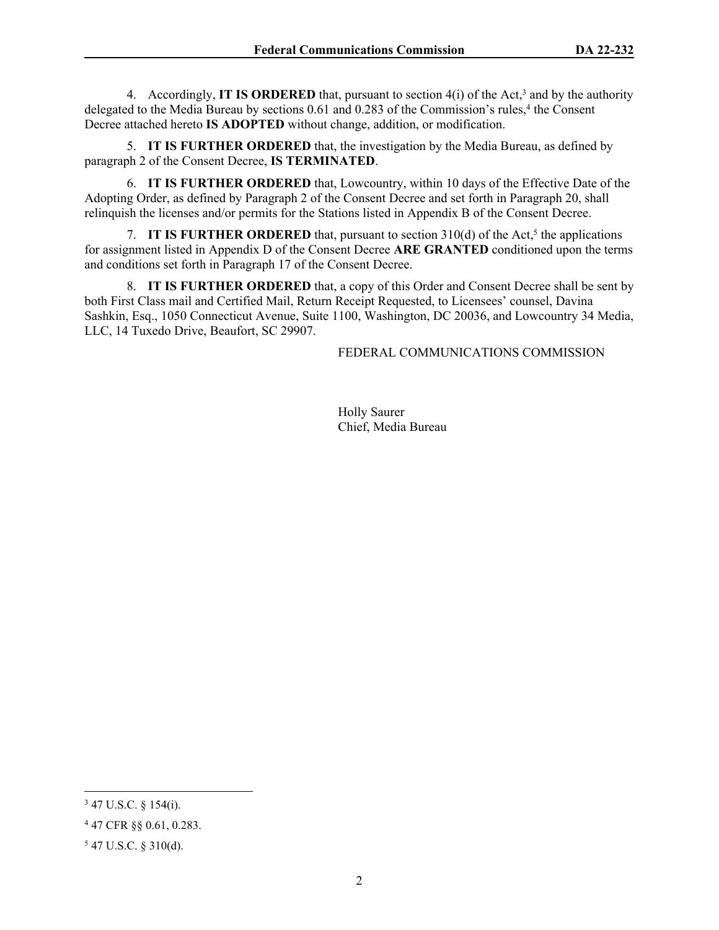4. Accordingly, **IT IS ORDERED** that, pursuant to section  $4(i)$  of the Act,<sup>3</sup> and by the authority delegated to the Media Bureau by sections 0.61 and 0.283 of the Commission's rules,<sup>4</sup> the Consent Decree attached hereto **IS ADOPTED** without change, addition, or modification.

5. **IT IS FURTHER ORDERED** that, the investigation by the Media Bureau, as defined by paragraph 2 of the Consent Decree, **IS TERMINATED**.

6. **IT IS FURTHER ORDERED** that, Lowcountry, within 10 days of the Effective Date of the Adopting Order, as defined by Paragraph 2 of the Consent Decree and set forth in Paragraph 20, shall relinquish the licenses and/or permits for the Stations listed in Appendix B of the Consent Decree.

7. **IT IS FURTHER ORDERED** that, pursuant to section  $310(d)$  of the Act,<sup>5</sup> the applications for assignment listed in Appendix D of the Consent Decree **ARE GRANTED** conditioned upon the terms and conditions set forth in Paragraph 17 of the Consent Decree.

8. **IT IS FURTHER ORDERED** that, a copy of this Order and Consent Decree shall be sent by both First Class mail and Certified Mail, Return Receipt Requested, to Licensees' counsel, Davina Sashkin, Esq., 1050 Connecticut Avenue, Suite 1100, Washington, DC 20036, and Lowcountry 34 Media, LLC, 14 Tuxedo Drive, Beaufort, SC 29907.

## FEDERAL COMMUNICATIONS COMMISSION

Holly Saurer Chief, Media Bureau

 $347$  U.S.C. § 154(i).

<sup>4</sup> 47 CFR §§ 0.61, 0.283.

<sup>5</sup> 47 U.S.C. § 310(d).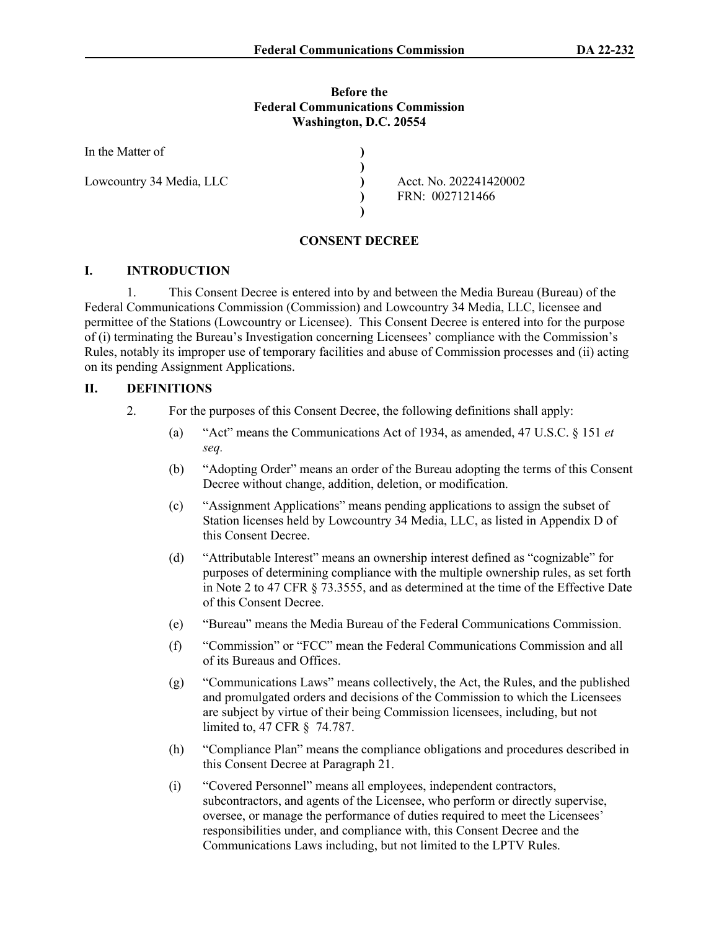### **Before the Federal Communications Commission Washington, D.C. 20554**

| In the Matter of         |                        |
|--------------------------|------------------------|
|                          |                        |
| Lowcountry 34 Media, LLC | Acct. No. 202241420002 |
|                          | FRN: 0027121466        |
|                          |                        |

## **CONSENT DECREE**

## **I. INTRODUCTION**

1. This Consent Decree is entered into by and between the Media Bureau (Bureau) of the Federal Communications Commission (Commission) and Lowcountry 34 Media, LLC, licensee and permittee of the Stations (Lowcountry or Licensee). This Consent Decree is entered into for the purpose of (i) terminating the Bureau's Investigation concerning Licensees' compliance with the Commission's Rules, notably its improper use of temporary facilities and abuse of Commission processes and (ii) acting on its pending Assignment Applications.

## **II. DEFINITIONS**

- 2. For the purposes of this Consent Decree, the following definitions shall apply:
	- (a) "Act" means the Communications Act of 1934, as amended, 47 U.S.C. § 151 *et seq.*
	- (b) "Adopting Order" means an order of the Bureau adopting the terms of this Consent Decree without change, addition, deletion, or modification.
	- (c) "Assignment Applications" means pending applications to assign the subset of Station licenses held by Lowcountry 34 Media, LLC, as listed in Appendix D of this Consent Decree.
	- (d) "Attributable Interest" means an ownership interest defined as "cognizable" for purposes of determining compliance with the multiple ownership rules, as set forth in Note 2 to 47 CFR § 73.3555, and as determined at the time of the Effective Date of this Consent Decree.
	- (e) "Bureau" means the Media Bureau of the Federal Communications Commission.
	- (f) "Commission" or "FCC" mean the Federal Communications Commission and all of its Bureaus and Offices.
	- (g) "Communications Laws" means collectively, the Act, the Rules, and the published and promulgated orders and decisions of the Commission to which the Licensees are subject by virtue of their being Commission licensees, including, but not limited to, 47 CFR § 74.787.
	- (h) "Compliance Plan" means the compliance obligations and procedures described in this Consent Decree at Paragraph 21.
	- (i) "Covered Personnel" means all employees, independent contractors, subcontractors, and agents of the Licensee, who perform or directly supervise, oversee, or manage the performance of duties required to meet the Licensees' responsibilities under, and compliance with, this Consent Decree and the Communications Laws including, but not limited to the LPTV Rules.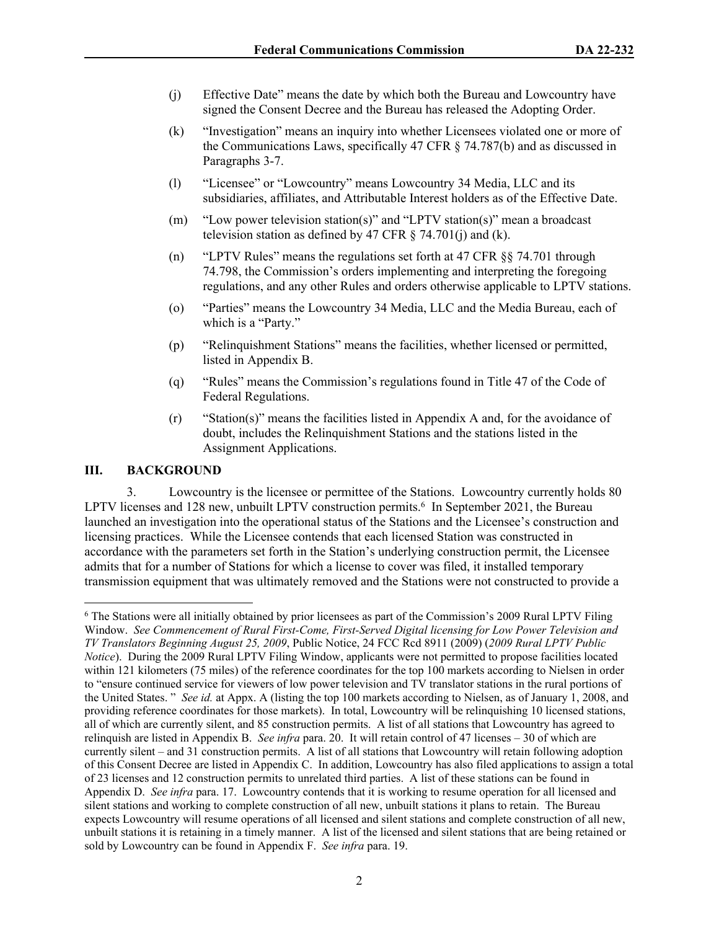- (j) Effective Date" means the date by which both the Bureau and Lowcountry have signed the Consent Decree and the Bureau has released the Adopting Order.
- (k) "Investigation" means an inquiry into whether Licensees violated one or more of the Communications Laws, specifically 47 CFR § 74.787(b) and as discussed in Paragraphs 3-7.
- (l) "Licensee" or "Lowcountry" means Lowcountry 34 Media, LLC and its subsidiaries, affiliates, and Attributable Interest holders as of the Effective Date.
- (m) "Low power television station(s)" and "LPTV station(s)" mean a broadcast television station as defined by 47 CFR  $\S$  74.701(j) and (k).
- (n) "LPTV Rules" means the regulations set forth at 47 CFR §§ 74.701 through 74.798, the Commission's orders implementing and interpreting the foregoing regulations, and any other Rules and orders otherwise applicable to LPTV stations.
- (o) "Parties" means the Lowcountry 34 Media, LLC and the Media Bureau, each of which is a "Party."
- (p) "Relinquishment Stations" means the facilities, whether licensed or permitted, listed in Appendix B.
- (q) "Rules" means the Commission's regulations found in Title 47 of the Code of Federal Regulations.
- (r) "Station(s)" means the facilities listed in Appendix A and, for the avoidance of doubt, includes the Relinquishment Stations and the stations listed in the Assignment Applications.

## **III. BACKGROUND**

3. Lowcountry is the licensee or permittee of the Stations. Lowcountry currently holds 80 LPTV licenses and 128 new, unbuilt LPTV construction permits.<sup>6</sup> In September 2021, the Bureau launched an investigation into the operational status of the Stations and the Licensee's construction and licensing practices. While the Licensee contends that each licensed Station was constructed in accordance with the parameters set forth in the Station's underlying construction permit, the Licensee admits that for a number of Stations for which a license to cover was filed, it installed temporary transmission equipment that was ultimately removed and the Stations were not constructed to provide a

<sup>&</sup>lt;sup>6</sup> The Stations were all initially obtained by prior licensees as part of the Commission's 2009 Rural LPTV Filing Window. *See Commencement of Rural First-Come, First-Served Digital licensing for Low Power Television and TV Translators Beginning August 25, 2009*, Public Notice, 24 FCC Rcd 8911 (2009) (*2009 Rural LPTV Public Notice*). During the 2009 Rural LPTV Filing Window, applicants were not permitted to propose facilities located within 121 kilometers (75 miles) of the reference coordinates for the top 100 markets according to Nielsen in order to "ensure continued service for viewers of low power television and TV translator stations in the rural portions of the United States. " *See id.* at Appx. A (listing the top 100 markets according to Nielsen, as of January 1, 2008, and providing reference coordinates for those markets). In total, Lowcountry will be relinquishing 10 licensed stations, all of which are currently silent, and 85 construction permits. A list of all stations that Lowcountry has agreed to relinquish are listed in Appendix B. *See infra* para. 20. It will retain control of 47 licenses – 30 of which are currently silent – and 31 construction permits. A list of all stations that Lowcountry will retain following adoption of this Consent Decree are listed in Appendix C. In addition, Lowcountry has also filed applications to assign a total of 23 licenses and 12 construction permits to unrelated third parties. A list of these stations can be found in Appendix D. *See infra* para. 17. Lowcountry contends that it is working to resume operation for all licensed and silent stations and working to complete construction of all new, unbuilt stations it plans to retain. The Bureau expects Lowcountry will resume operations of all licensed and silent stations and complete construction of all new, unbuilt stations it is retaining in a timely manner. A list of the licensed and silent stations that are being retained or sold by Lowcountry can be found in Appendix F. *See infra* para. 19.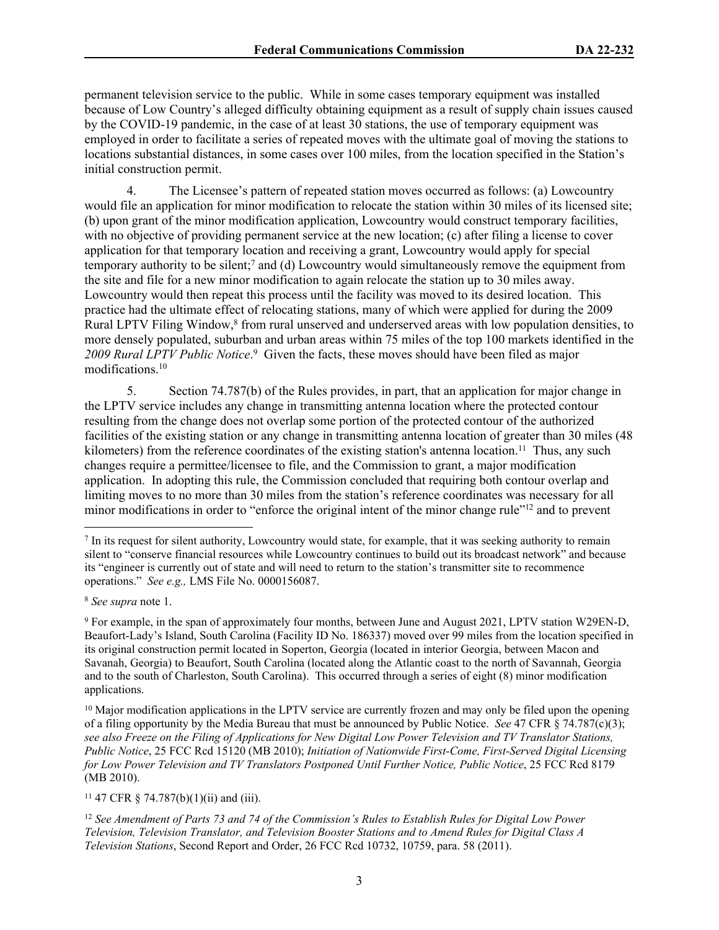permanent television service to the public. While in some cases temporary equipment was installed because of Low Country's alleged difficulty obtaining equipment as a result of supply chain issues caused by the COVID-19 pandemic, in the case of at least 30 stations, the use of temporary equipment was employed in order to facilitate a series of repeated moves with the ultimate goal of moving the stations to locations substantial distances, in some cases over 100 miles, from the location specified in the Station's initial construction permit.

4. The Licensee's pattern of repeated station moves occurred as follows: (a) Lowcountry would file an application for minor modification to relocate the station within 30 miles of its licensed site; (b) upon grant of the minor modification application, Lowcountry would construct temporary facilities, with no objective of providing permanent service at the new location; (c) after filing a license to cover application for that temporary location and receiving a grant, Lowcountry would apply for special temporary authority to be silent;<sup>7</sup> and (d) Lowcountry would simultaneously remove the equipment from the site and file for a new minor modification to again relocate the station up to 30 miles away. Lowcountry would then repeat this process until the facility was moved to its desired location. This practice had the ultimate effect of relocating stations, many of which were applied for during the 2009 Rural LPTV Filing Window,<sup>8</sup> from rural unserved and underserved areas with low population densities, to more densely populated, suburban and urban areas within 75 miles of the top 100 markets identified in the 2009 Rural LPTV Public Notice.<sup>9</sup> Given the facts, these moves should have been filed as major modifications.<sup>10</sup>

5. Section 74.787(b) of the Rules provides, in part, that an application for major change in the LPTV service includes any change in transmitting antenna location where the protected contour resulting from the change does not overlap some portion of the protected contour of the authorized facilities of the existing station or any change in transmitting antenna location of greater than 30 miles (48 kilometers) from the reference coordinates of the existing station's antenna location.<sup>11</sup> Thus, any such changes require a permittee/licensee to file, and the Commission to grant, a major modification application. In adopting this rule, the Commission concluded that requiring both contour overlap and limiting moves to no more than 30 miles from the station's reference coordinates was necessary for all minor modifications in order to "enforce the original intent of the minor change rule"<sup>12</sup> and to prevent

<sup>8</sup> *See supra* note 1.

<sup>11</sup> 47 CFR § 74.787(b)(1)(ii) and (iii).

<sup>&</sup>lt;sup>7</sup> In its request for silent authority, Lowcountry would state, for example, that it was seeking authority to remain silent to "conserve financial resources while Lowcountry continues to build out its broadcast network" and because its "engineer is currently out of state and will need to return to the station's transmitter site to recommence operations." *See e.g.,* LMS File No. 0000156087.

<sup>9</sup> For example, in the span of approximately four months, between June and August 2021, LPTV station W29EN-D, Beaufort-Lady's Island, South Carolina (Facility ID No. 186337) moved over 99 miles from the location specified in its original construction permit located in Soperton, Georgia (located in interior Georgia, between Macon and Savanah, Georgia) to Beaufort, South Carolina (located along the Atlantic coast to the north of Savannah, Georgia and to the south of Charleston, South Carolina). This occurred through a series of eight (8) minor modification applications.

<sup>&</sup>lt;sup>10</sup> Major modification applications in the LPTV service are currently frozen and may only be filed upon the opening of a filing opportunity by the Media Bureau that must be announced by Public Notice. *See* 47 CFR § 74.787(c)(3); *see also Freeze on the Filing of Applications for New Digital Low Power Television and TV Translator Stations, Public Notice*, 25 FCC Rcd 15120 (MB 2010); *Initiation of Nationwide First-Come, First-Served Digital Licensing for Low Power Television and TV Translators Postponed Until Further Notice, Public Notice*, 25 FCC Rcd 8179 (MB 2010).

<sup>12</sup> *See Amendment of Parts 73 and 74 of the Commission's Rules to Establish Rules for Digital Low Power Television, Television Translator, and Television Booster Stations and to Amend Rules for Digital Class A Television Stations*, Second Report and Order, 26 FCC Rcd 10732, 10759, para. 58 (2011).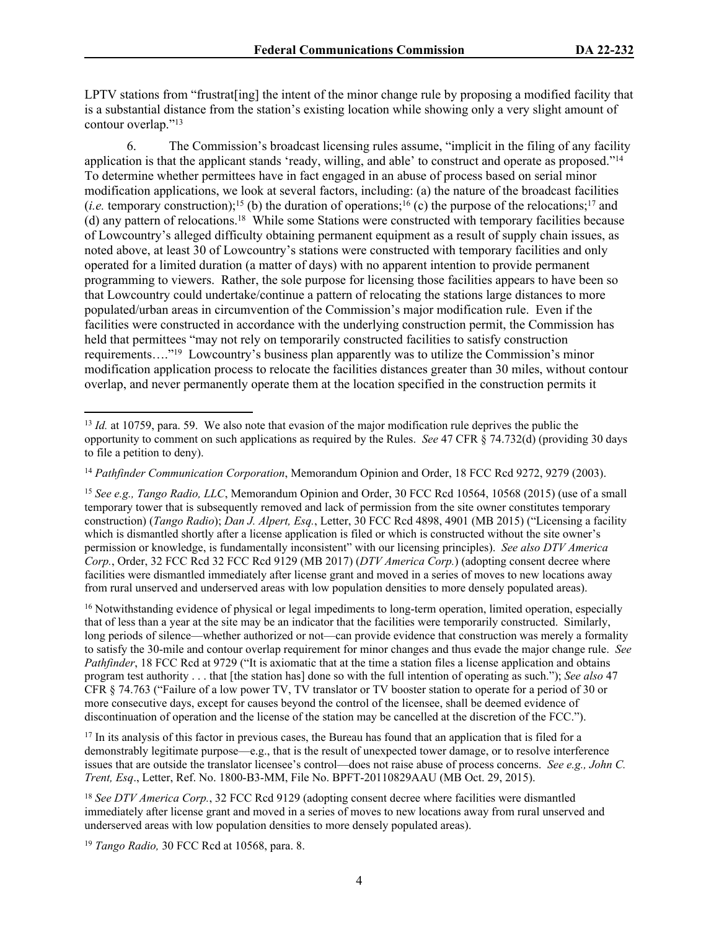LPTV stations from "frustrat [ing] the intent of the minor change rule by proposing a modified facility that is a substantial distance from the station's existing location while showing only a very slight amount of contour overlap."<sup>13</sup>

6. The Commission's broadcast licensing rules assume, "implicit in the filing of any facility application is that the applicant stands 'ready, willing, and able' to construct and operate as proposed."<sup>14</sup> To determine whether permittees have in fact engaged in an abuse of process based on serial minor modification applications, we look at several factors, including: (a) the nature of the broadcast facilities (*i.e.* temporary construction);<sup>15</sup> (b) the duration of operations;<sup>16</sup> (c) the purpose of the relocations;<sup>17</sup> and (d) any pattern of relocations.<sup>18</sup> While some Stations were constructed with temporary facilities because of Lowcountry's alleged difficulty obtaining permanent equipment as a result of supply chain issues, as noted above, at least 30 of Lowcountry's stations were constructed with temporary facilities and only operated for a limited duration (a matter of days) with no apparent intention to provide permanent programming to viewers. Rather, the sole purpose for licensing those facilities appears to have been so that Lowcountry could undertake/continue a pattern of relocating the stations large distances to more populated/urban areas in circumvention of the Commission's major modification rule. Even if the facilities were constructed in accordance with the underlying construction permit, the Commission has held that permittees "may not rely on temporarily constructed facilities to satisfy construction requirements…."<sup>19</sup> Lowcountry's business plan apparently was to utilize the Commission's minor modification application process to relocate the facilities distances greater than 30 miles, without contour overlap, and never permanently operate them at the location specified in the construction permits it

<sup>16</sup> Notwithstanding evidence of physical or legal impediments to long-term operation, limited operation, especially that of less than a year at the site may be an indicator that the facilities were temporarily constructed. Similarly, long periods of silence—whether authorized or not—can provide evidence that construction was merely a formality to satisfy the 30-mile and contour overlap requirement for minor changes and thus evade the major change rule. *See Pathfinder*, 18 FCC Rcd at 9729 ("It is axiomatic that at the time a station files a license application and obtains program test authority . . . that [the station has] done so with the full intention of operating as such."); *See also* 47 CFR § 74.763 ("Failure of a low power TV, TV translator or TV booster station to operate for a period of 30 or more consecutive days, except for causes beyond the control of the licensee, shall be deemed evidence of discontinuation of operation and the license of the station may be cancelled at the discretion of the FCC.").

<sup>17</sup> In its analysis of this factor in previous cases, the Bureau has found that an application that is filed for a demonstrably legitimate purpose—e.g., that is the result of unexpected tower damage, or to resolve interference issues that are outside the translator licensee's control—does not raise abuse of process concerns. *See e.g., John C. Trent, Esq*., Letter, Ref. No. 1800-B3-MM, File No. BPFT-20110829AAU (MB Oct. 29, 2015).

<sup>&</sup>lt;sup>13</sup> *Id.* at 10759, para. 59. We also note that evasion of the major modification rule deprives the public the opportunity to comment on such applications as required by the Rules. *See* 47 CFR § 74.732(d) (providing 30 days to file a petition to deny).

<sup>14</sup> *Pathfinder Communication Corporation*, Memorandum Opinion and Order, 18 FCC Rcd 9272, 9279 (2003).

<sup>15</sup> *See e.g., Tango Radio, LLC*, Memorandum Opinion and Order, 30 FCC Rcd 10564, 10568 (2015) (use of a small temporary tower that is subsequently removed and lack of permission from the site owner constitutes temporary construction) (*Tango Radio*); *Dan J. Alpert, Esq.*, Letter, 30 FCC Rcd 4898, 4901 (MB 2015) ("Licensing a facility which is dismantled shortly after a license application is filed or which is constructed without the site owner's permission or knowledge, is fundamentally inconsistent" with our licensing principles). *See also DTV America Corp.*, Order, 32 FCC Rcd 32 FCC Rcd 9129 (MB 2017) (*DTV America Corp.*) (adopting consent decree where facilities were dismantled immediately after license grant and moved in a series of moves to new locations away from rural unserved and underserved areas with low population densities to more densely populated areas).

<sup>&</sup>lt;sup>18</sup> See DTV America Corp., 32 FCC Rcd 9129 (adopting consent decree where facilities were dismantled immediately after license grant and moved in a series of moves to new locations away from rural unserved and underserved areas with low population densities to more densely populated areas).

<sup>19</sup> *Tango Radio,* 30 FCC Rcd at 10568, para. 8.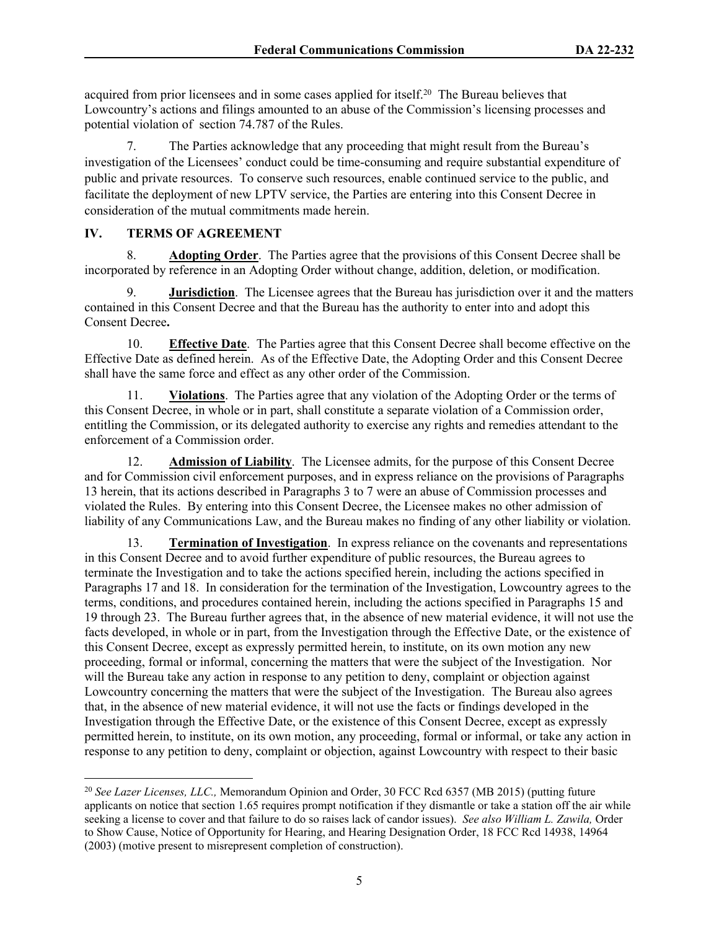acquired from prior licensees and in some cases applied for itself.<sup>20</sup> The Bureau believes that Lowcountry's actions and filings amounted to an abuse of the Commission's licensing processes and potential violation of section 74.787 of the Rules.

7. The Parties acknowledge that any proceeding that might result from the Bureau's investigation of the Licensees' conduct could be time-consuming and require substantial expenditure of public and private resources. To conserve such resources, enable continued service to the public, and facilitate the deployment of new LPTV service, the Parties are entering into this Consent Decree in consideration of the mutual commitments made herein.

## **IV. TERMS OF AGREEMENT**

8. **Adopting Order**.The Parties agree that the provisions of this Consent Decree shall be incorporated by reference in an Adopting Order without change, addition, deletion, or modification.

9. **Jurisdiction**. The Licensee agrees that the Bureau has jurisdiction over it and the matters contained in this Consent Decree and that the Bureau has the authority to enter into and adopt this Consent Decree**.**

10. **Effective Date**. The Parties agree that this Consent Decree shall become effective on the Effective Date as defined herein. As of the Effective Date, the Adopting Order and this Consent Decree shall have the same force and effect as any other order of the Commission.

11. **Violations**. The Parties agree that any violation of the Adopting Order or the terms of this Consent Decree, in whole or in part, shall constitute a separate violation of a Commission order, entitling the Commission, or its delegated authority to exercise any rights and remedies attendant to the enforcement of a Commission order.

12. **Admission of Liability**. The Licensee admits, for the purpose of this Consent Decree and for Commission civil enforcement purposes, and in express reliance on the provisions of Paragraphs 13 herein, that its actions described in Paragraphs 3 to 7 were an abuse of Commission processes and violated the Rules. By entering into this Consent Decree, the Licensee makes no other admission of liability of any Communications Law, and the Bureau makes no finding of any other liability or violation.

13. **Termination of Investigation**.In express reliance on the covenants and representations in this Consent Decree and to avoid further expenditure of public resources, the Bureau agrees to terminate the Investigation and to take the actions specified herein, including the actions specified in Paragraphs 17 and 18. In consideration for the termination of the Investigation, Lowcountry agrees to the terms, conditions, and procedures contained herein, including the actions specified in Paragraphs 15 and 19 through 23. The Bureau further agrees that, in the absence of new material evidence, it will not use the facts developed, in whole or in part, from the Investigation through the Effective Date, or the existence of this Consent Decree, except as expressly permitted herein, to institute, on its own motion any new proceeding, formal or informal, concerning the matters that were the subject of the Investigation. Nor will the Bureau take any action in response to any petition to deny, complaint or objection against Lowcountry concerning the matters that were the subject of the Investigation. The Bureau also agrees that, in the absence of new material evidence, it will not use the facts or findings developed in the Investigation through the Effective Date, or the existence of this Consent Decree, except as expressly permitted herein, to institute, on its own motion, any proceeding, formal or informal, or take any action in response to any petition to deny, complaint or objection, against Lowcountry with respect to their basic

<sup>20</sup> *See Lazer Licenses, LLC.,* Memorandum Opinion and Order, 30 FCC Rcd 6357 (MB 2015) (putting future applicants on notice that section 1.65 requires prompt notification if they dismantle or take a station off the air while seeking a license to cover and that failure to do so raises lack of candor issues). *See also William L. Zawila,* Order to Show Cause, Notice of Opportunity for Hearing, and Hearing Designation Order, 18 FCC Rcd 14938, 14964 (2003) (motive present to misrepresent completion of construction).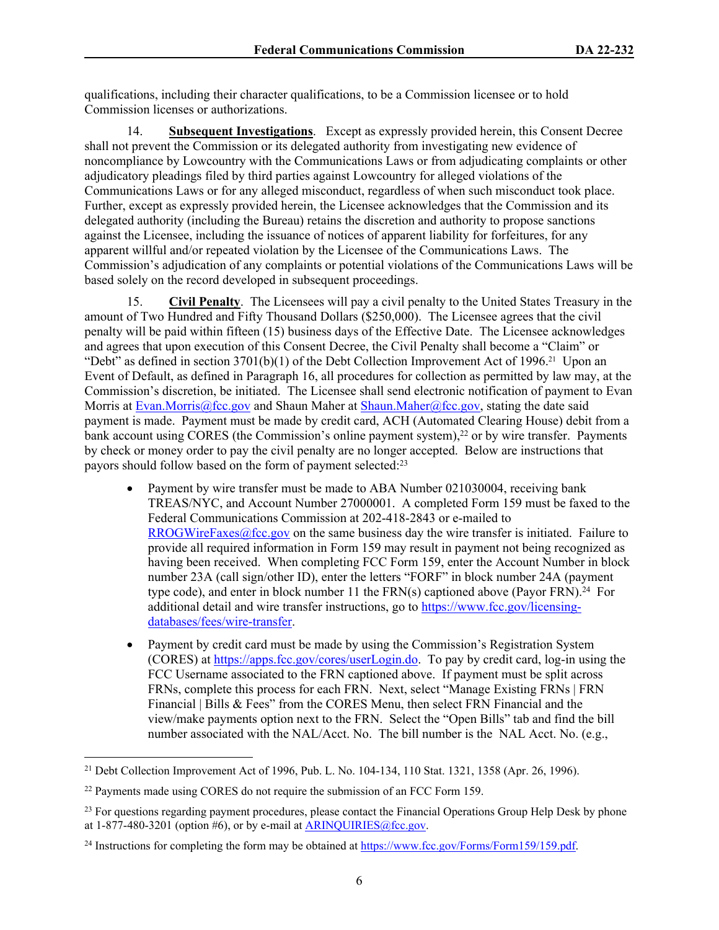qualifications, including their character qualifications, to be a Commission licensee or to hold Commission licenses or authorizations.

14. **Subsequent Investigations**. Except as expressly provided herein, this Consent Decree shall not prevent the Commission or its delegated authority from investigating new evidence of noncompliance by Lowcountry with the Communications Laws or from adjudicating complaints or other adjudicatory pleadings filed by third parties against Lowcountry for alleged violations of the Communications Laws or for any alleged misconduct, regardless of when such misconduct took place. Further, except as expressly provided herein, the Licensee acknowledges that the Commission and its delegated authority (including the Bureau) retains the discretion and authority to propose sanctions against the Licensee, including the issuance of notices of apparent liability for forfeitures, for any apparent willful and/or repeated violation by the Licensee of the Communications Laws. The Commission's adjudication of any complaints or potential violations of the Communications Laws will be based solely on the record developed in subsequent proceedings.

15. **Civil Penalty**. The Licensees will pay a civil penalty to the United States Treasury in the amount of Two Hundred and Fifty Thousand Dollars (\$250,000). The Licensee agrees that the civil penalty will be paid within fifteen (15) business days of the Effective Date. The Licensee acknowledges and agrees that upon execution of this Consent Decree, the Civil Penalty shall become a "Claim" or "Debt" as defined in section  $3701(b)(1)$  of the Debt Collection Improvement Act of 1996.<sup>21</sup> Upon an Event of Default, as defined in Paragraph 16, all procedures for collection as permitted by law may, at the Commission's discretion, be initiated. The Licensee shall send electronic notification of payment to Evan Morris at [Evan.Morris@fcc.gov](mailto:Evan.Morris@fcc.gov) and Shaun Maher at [Shaun.Maher@fcc.gov](mailto:Shaun.Maher@fcc.govs), stating the date said payment is made. Payment must be made by credit card, ACH (Automated Clearing House) debit from a bank account using CORES (the Commission's online payment system),<sup>22</sup> or by wire transfer. Payments by check or money order to pay the civil penalty are no longer accepted. Below are instructions that payors should follow based on the form of payment selected:<sup>23</sup>

- Payment by wire transfer must be made to ABA Number 021030004, receiving bank TREAS/NYC, and Account Number 27000001. A completed Form 159 must be faxed to the Federal Communications Commission at 202-418-2843 or e-mailed to [RROGWireFaxes@fcc.gov](mailto:RROGWireFaxes@fcc.gov) on the same business day the wire transfer is initiated. Failure to provide all required information in Form 159 may result in payment not being recognized as having been received. When completing FCC Form 159, enter the Account Number in block number 23A (call sign/other ID), enter the letters "FORF" in block number 24A (payment type code), and enter in block number 11 the  $FRN(s)$  captioned above (Payor FRN).<sup>24</sup> For additional detail and wire transfer instructions, go to [https://www.fcc.gov/licensing](https://www.fcc.gov/licensing-databases/fees/wire-transfer)[databases/fees/wire-transfer.](https://www.fcc.gov/licensing-databases/fees/wire-transfer)
- Payment by credit card must be made by using the Commission's Registration System (CORES) at<https://apps.fcc.gov/cores/userLogin.do>. To pay by credit card, log-in using the FCC Username associated to the FRN captioned above. If payment must be split across FRNs, complete this process for each FRN. Next, select "Manage Existing FRNs | FRN Financial | Bills & Fees" from the CORES Menu, then select FRN Financial and the view/make payments option next to the FRN. Select the "Open Bills" tab and find the bill number associated with the NAL/Acct. No. The bill number is the NAL Acct. No. (e.g.,

<sup>21</sup> Debt Collection Improvement Act of 1996, Pub. L. No. 104-134, 110 Stat. 1321, 1358 (Apr. 26, 1996).

<sup>22</sup> Payments made using CORES do not require the submission of an FCC Form 159.

<sup>&</sup>lt;sup>23</sup> For questions regarding payment procedures, please contact the Financial Operations Group Help Desk by phone at  $1-877-480-3201$  (option #6), or by e-mail at [ARINQUIRIES@fcc.gov.](mailto:ARINQUIRIES@fcc.gov)

<sup>24</sup> Instructions for completing the form may be obtained at<https://www.fcc.gov/Forms/Form159/159.pdf>.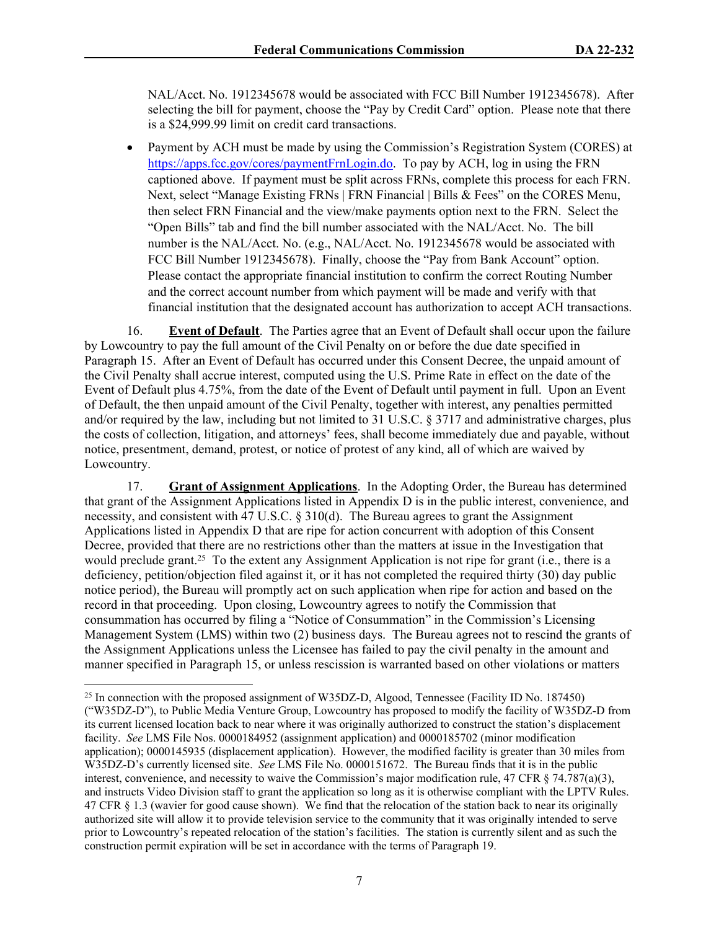NAL/Acct. No. 1912345678 would be associated with FCC Bill Number 1912345678). After selecting the bill for payment, choose the "Pay by Credit Card" option. Please note that there is a \$24,999.99 limit on credit card transactions.

• Payment by ACH must be made by using the Commission's Registration System (CORES) at [https://apps.fcc.gov/cores/paymentFrnLogin.do.](https://apps.fcc.gov/cores/paymentFrnLogin.do) To pay by ACH, log in using the FRN captioned above. If payment must be split across FRNs, complete this process for each FRN. Next, select "Manage Existing FRNs | FRN Financial | Bills & Fees" on the CORES Menu, then select FRN Financial and the view/make payments option next to the FRN. Select the "Open Bills" tab and find the bill number associated with the NAL/Acct. No. The bill number is the NAL/Acct. No. (e.g., NAL/Acct. No. 1912345678 would be associated with FCC Bill Number 1912345678). Finally, choose the "Pay from Bank Account" option. Please contact the appropriate financial institution to confirm the correct Routing Number and the correct account number from which payment will be made and verify with that financial institution that the designated account has authorization to accept ACH transactions.

16. **Event of Default**. The Parties agree that an Event of Default shall occur upon the failure by Lowcountry to pay the full amount of the Civil Penalty on or before the due date specified in Paragraph 15. After an Event of Default has occurred under this Consent Decree, the unpaid amount of the Civil Penalty shall accrue interest, computed using the U.S. Prime Rate in effect on the date of the Event of Default plus 4.75%, from the date of the Event of Default until payment in full. Upon an Event of Default, the then unpaid amount of the Civil Penalty, together with interest, any penalties permitted and/or required by the law, including but not limited to 31 U.S.C. § 3717 and administrative charges, plus the costs of collection, litigation, and attorneys' fees, shall become immediately due and payable, without notice, presentment, demand, protest, or notice of protest of any kind, all of which are waived by Lowcountry.

17. **Grant of Assignment Applications**. In the Adopting Order, the Bureau has determined that grant of the Assignment Applications listed in Appendix D is in the public interest, convenience, and necessity, and consistent with 47 U.S.C. § 310(d). The Bureau agrees to grant the Assignment Applications listed in Appendix D that are ripe for action concurrent with adoption of this Consent Decree, provided that there are no restrictions other than the matters at issue in the Investigation that would preclude grant.<sup>25</sup> To the extent any Assignment Application is not ripe for grant (i.e., there is a deficiency, petition/objection filed against it, or it has not completed the required thirty (30) day public notice period), the Bureau will promptly act on such application when ripe for action and based on the record in that proceeding. Upon closing, Lowcountry agrees to notify the Commission that consummation has occurred by filing a "Notice of Consummation" in the Commission's Licensing Management System (LMS) within two (2) business days. The Bureau agrees not to rescind the grants of the Assignment Applications unless the Licensee has failed to pay the civil penalty in the amount and manner specified in Paragraph 15, or unless rescission is warranted based on other violations or matters

<sup>&</sup>lt;sup>25</sup> In connection with the proposed assignment of W35DZ-D, Algood, Tennessee (Facility ID No. 187450) ("W35DZ-D"), to Public Media Venture Group, Lowcountry has proposed to modify the facility of W35DZ-D from its current licensed location back to near where it was originally authorized to construct the station's displacement facility. *See* LMS File Nos. 0000184952 (assignment application) and 0000185702 (minor modification application); 0000145935 (displacement application). However, the modified facility is greater than 30 miles from W35DZ-D's currently licensed site. *See* LMS File No. 0000151672. The Bureau finds that it is in the public interest, convenience, and necessity to waive the Commission's major modification rule, 47 CFR § 74.787(a)(3), and instructs Video Division staff to grant the application so long as it is otherwise compliant with the LPTV Rules. 47 CFR § 1.3 (wavier for good cause shown). We find that the relocation of the station back to near its originally authorized site will allow it to provide television service to the community that it was originally intended to serve prior to Lowcountry's repeated relocation of the station's facilities. The station is currently silent and as such the construction permit expiration will be set in accordance with the terms of Paragraph 19.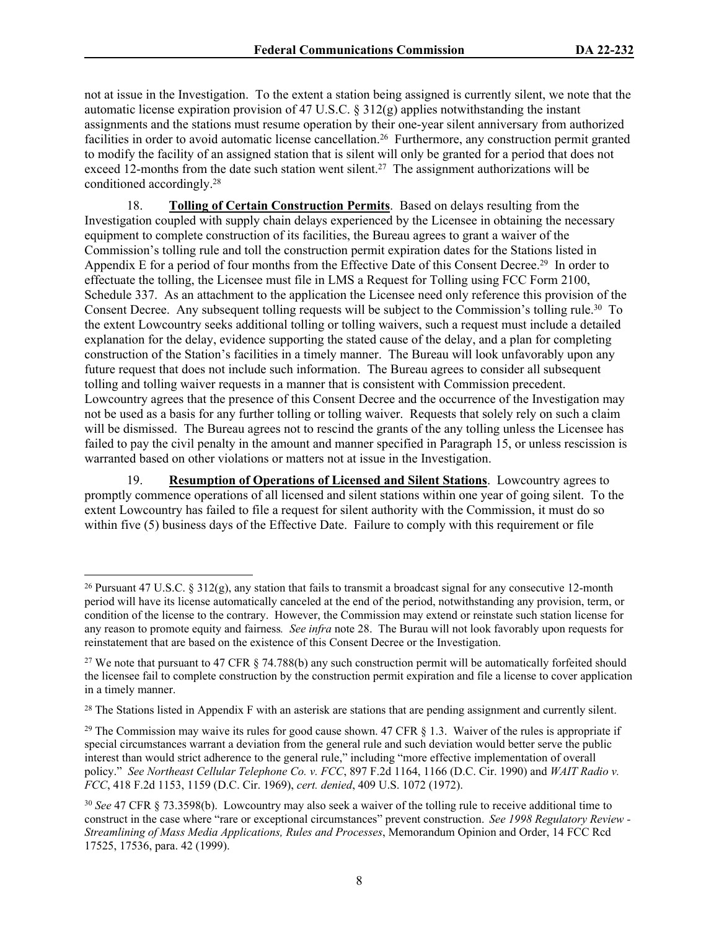not at issue in the Investigation. To the extent a station being assigned is currently silent, we note that the automatic license expiration provision of 47 U.S.C. § 312(g) applies notwithstanding the instant assignments and the stations must resume operation by their one-year silent anniversary from authorized facilities in order to avoid automatic license cancellation.<sup>26</sup> Furthermore, any construction permit granted to modify the facility of an assigned station that is silent will only be granted for a period that does not exceed 12-months from the date such station went silent.<sup>27</sup> The assignment authorizations will be conditioned accordingly.<sup>28</sup>

18. **Tolling of Certain Construction Permits**. Based on delays resulting from the Investigation coupled with supply chain delays experienced by the Licensee in obtaining the necessary equipment to complete construction of its facilities, the Bureau agrees to grant a waiver of the Commission's tolling rule and toll the construction permit expiration dates for the Stations listed in Appendix E for a period of four months from the Effective Date of this Consent Decree.<sup>29</sup> In order to effectuate the tolling, the Licensee must file in LMS a Request for Tolling using FCC Form 2100, Schedule 337. As an attachment to the application the Licensee need only reference this provision of the Consent Decree. Any subsequent tolling requests will be subject to the Commission's tolling rule.<sup>30</sup> To the extent Lowcountry seeks additional tolling or tolling waivers, such a request must include a detailed explanation for the delay, evidence supporting the stated cause of the delay, and a plan for completing construction of the Station's facilities in a timely manner. The Bureau will look unfavorably upon any future request that does not include such information. The Bureau agrees to consider all subsequent tolling and tolling waiver requests in a manner that is consistent with Commission precedent. Lowcountry agrees that the presence of this Consent Decree and the occurrence of the Investigation may not be used as a basis for any further tolling or tolling waiver. Requests that solely rely on such a claim will be dismissed. The Bureau agrees not to rescind the grants of the any tolling unless the Licensee has failed to pay the civil penalty in the amount and manner specified in Paragraph 15, or unless rescission is warranted based on other violations or matters not at issue in the Investigation.

19. **Resumption of Operations of Licensed and Silent Stations**. Lowcountry agrees to promptly commence operations of all licensed and silent stations within one year of going silent. To the extent Lowcountry has failed to file a request for silent authority with the Commission, it must do so within five (5) business days of the Effective Date. Failure to comply with this requirement or file

<sup>&</sup>lt;sup>26</sup> Pursuant 47 U.S.C. § 312(g), any station that fails to transmit a broadcast signal for any consecutive 12-month period will have its license automatically canceled at the end of the period, notwithstanding any provision, term, or condition of the license to the contrary. However, the Commission may extend or reinstate such station license for any reason to promote equity and fairness*. See infra* note 28. The Burau will not look favorably upon requests for reinstatement that are based on the existence of this Consent Decree or the Investigation.

<sup>&</sup>lt;sup>27</sup> We note that pursuant to 47 CFR § 74.788(b) any such construction permit will be automatically forfeited should the licensee fail to complete construction by the construction permit expiration and file a license to cover application in a timely manner.

<sup>&</sup>lt;sup>28</sup> The Stations listed in Appendix F with an asterisk are stations that are pending assignment and currently silent.

<sup>&</sup>lt;sup>29</sup> The Commission may waive its rules for good cause shown. 47 CFR  $\S$  1.3. Waiver of the rules is appropriate if special circumstances warrant a deviation from the general rule and such deviation would better serve the public interest than would strict adherence to the general rule," including "more effective implementation of overall policy." *See Northeast Cellular Telephone Co. v. FCC*, 897 F.2d 1164, 1166 (D.C. Cir. 1990) and *WAIT Radio v. FCC*, 418 F.2d 1153, 1159 (D.C. Cir. 1969), *cert. denied*, 409 U.S. 1072 (1972).

<sup>30</sup> *See* 47 CFR § 73.3598(b). Lowcountry may also seek a waiver of the tolling rule to receive additional time to construct in the case where "rare or exceptional circumstances" prevent construction. *See 1998 Regulatory Review - Streamlining of Mass Media Applications, Rules and Processes*, Memorandum Opinion and Order, 14 FCC Rcd 17525, 17536, para. 42 (1999).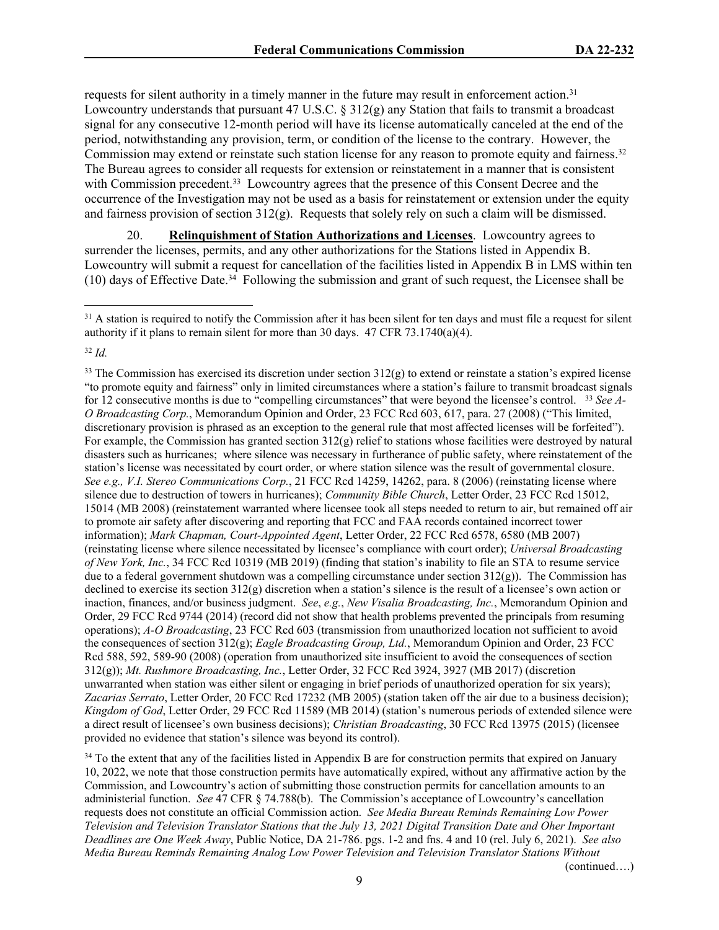requests for silent authority in a timely manner in the future may result in enforcement action.<sup>31</sup> Lowcountry understands that pursuant 47 U.S.C. § 312(g) any Station that fails to transmit a broadcast signal for any consecutive 12-month period will have its license automatically canceled at the end of the period, notwithstanding any provision, term, or condition of the license to the contrary. However, the Commission may extend or reinstate such station license for any reason to promote equity and fairness.<sup>32</sup> The Bureau agrees to consider all requests for extension or reinstatement in a manner that is consistent with Commission precedent.<sup>33</sup> Lowcountry agrees that the presence of this Consent Decree and the occurrence of the Investigation may not be used as a basis for reinstatement or extension under the equity and fairness provision of section 312(g). Requests that solely rely on such a claim will be dismissed.

20. **Relinquishment of Station Authorizations and Licenses**. Lowcountry agrees to surrender the licenses, permits, and any other authorizations for the Stations listed in Appendix B. Lowcountry will submit a request for cancellation of the facilities listed in Appendix B in LMS within ten  $(10)$  days of Effective Date.<sup>34</sup> Following the submission and grant of such request, the Licensee shall be

<sup>34</sup> To the extent that any of the facilities listed in Appendix B are for construction permits that expired on January 10, 2022, we note that those construction permits have automatically expired, without any affirmative action by the Commission, and Lowcountry's action of submitting those construction permits for cancellation amounts to an administerial function. *See* 47 CFR § 74.788(b). The Commission's acceptance of Lowcountry's cancellation requests does not constitute an official Commission action. *See Media Bureau Reminds Remaining Low Power Television and Television Translator Stations that the July 13, 2021 Digital Transition Date and Oher Important Deadlines are One Week Away*, Public Notice, DA 21-786. pgs. 1-2 and fns. 4 and 10 (rel. July 6, 2021). *See also Media Bureau Reminds Remaining Analog Low Power Television and Television Translator Stations Without* 

(continued….)

 $31$  A station is required to notify the Commission after it has been silent for ten days and must file a request for silent authority if it plans to remain silent for more than 30 days. 47 CFR 73.1740(a)(4).

<sup>32</sup> *Id.*

<sup>&</sup>lt;sup>33</sup> The Commission has exercised its discretion under section  $312(g)$  to extend or reinstate a station's expired license "to promote equity and fairness" only in limited circumstances where a station's failure to transmit broadcast signals for 12 consecutive months is due to "compelling circumstances" that were beyond the licensee's control. <sup>33</sup> *See A-O Broadcasting Corp.*, Memorandum Opinion and Order, 23 FCC Rcd 603, 617, para. 27 (2008) ("This limited, discretionary provision is phrased as an exception to the general rule that most affected licenses will be forfeited"). For example, the Commission has granted section  $312(g)$  relief to stations whose facilities were destroyed by natural disasters such as hurricanes; where silence was necessary in furtherance of public safety, where reinstatement of the station's license was necessitated by court order, or where station silence was the result of governmental closure. *See e.g., V.I. Stereo Communications Corp.*, 21 FCC Rcd 14259, 14262, para. 8 (2006) (reinstating license where silence due to destruction of towers in hurricanes); *Community Bible Church*, Letter Order, 23 FCC Rcd 15012, 15014 (MB 2008) (reinstatement warranted where licensee took all steps needed to return to air, but remained off air to promote air safety after discovering and reporting that FCC and FAA records contained incorrect tower information); *Mark Chapman, Court-Appointed Agent*, Letter Order, 22 FCC Rcd 6578, 6580 (MB 2007) (reinstating license where silence necessitated by licensee's compliance with court order); *Universal Broadcasting of New York, Inc.*, 34 FCC Rcd 10319 (MB 2019) (finding that station's inability to file an STA to resume service due to a federal government shutdown was a compelling circumstance under section  $312(g)$ ). The Commission has declined to exercise its section 312(g) discretion when a station's silence is the result of a licensee's own action or inaction, finances, and/or business judgment. *See*, *e.g.*, *New Visalia Broadcasting, Inc.*, Memorandum Opinion and Order, 29 FCC Rcd 9744 (2014) (record did not show that health problems prevented the principals from resuming operations); *A-O Broadcasting*, 23 FCC Rcd 603 (transmission from unauthorized location not sufficient to avoid the consequences of section 312(g); *Eagle Broadcasting Group, Ltd.*, Memorandum Opinion and Order, 23 FCC Rcd 588, 592, 589-90 (2008) (operation from unauthorized site insufficient to avoid the consequences of section 312(g)); *Mt. Rushmore Broadcasting, Inc.*, Letter Order, 32 FCC Rcd 3924, 3927 (MB 2017) (discretion unwarranted when station was either silent or engaging in brief periods of unauthorized operation for six years); *Zacarias Serrato*, Letter Order, 20 FCC Rcd 17232 (MB 2005) (station taken off the air due to a business decision); *Kingdom of God*, Letter Order, 29 FCC Rcd 11589 (MB 2014) (station's numerous periods of extended silence were a direct result of licensee's own business decisions); *Christian Broadcasting*, 30 FCC Rcd 13975 (2015) (licensee provided no evidence that station's silence was beyond its control).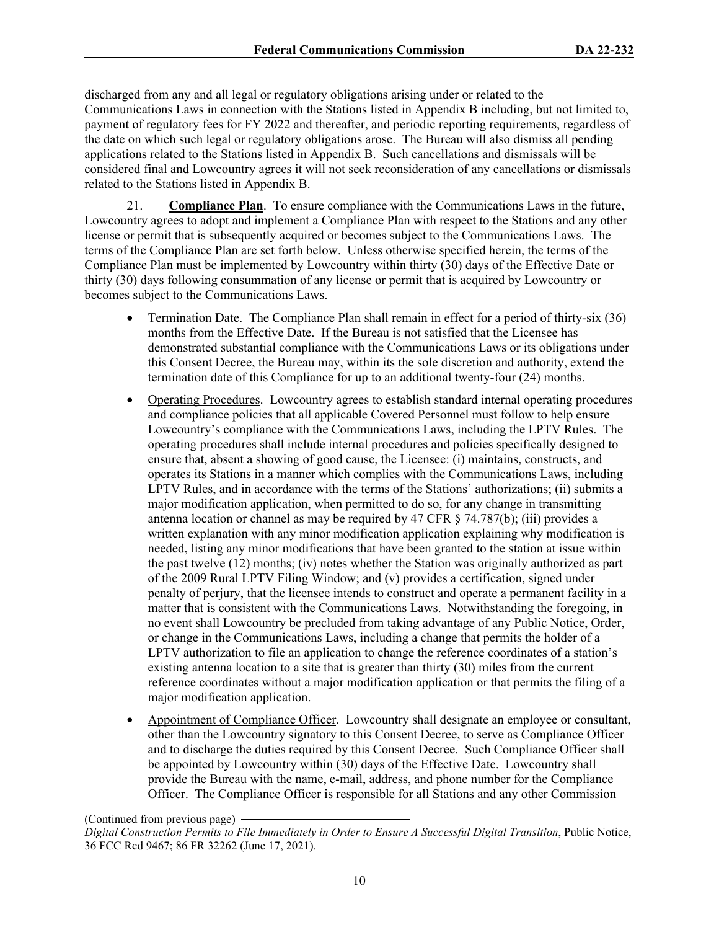discharged from any and all legal or regulatory obligations arising under or related to the Communications Laws in connection with the Stations listed in Appendix B including, but not limited to, payment of regulatory fees for FY 2022 and thereafter, and periodic reporting requirements, regardless of the date on which such legal or regulatory obligations arose. The Bureau will also dismiss all pending applications related to the Stations listed in Appendix B. Such cancellations and dismissals will be considered final and Lowcountry agrees it will not seek reconsideration of any cancellations or dismissals related to the Stations listed in Appendix B.

21. **Compliance Plan**. To ensure compliance with the Communications Laws in the future, Lowcountry agrees to adopt and implement a Compliance Plan with respect to the Stations and any other license or permit that is subsequently acquired or becomes subject to the Communications Laws. The terms of the Compliance Plan are set forth below. Unless otherwise specified herein, the terms of the Compliance Plan must be implemented by Lowcountry within thirty (30) days of the Effective Date or thirty (30) days following consummation of any license or permit that is acquired by Lowcountry or becomes subject to the Communications Laws.

- Termination Date. The Compliance Plan shall remain in effect for a period of thirty-six (36) months from the Effective Date.If the Bureau is not satisfied that the Licensee has demonstrated substantial compliance with the Communications Laws or its obligations under this Consent Decree, the Bureau may, within its the sole discretion and authority, extend the termination date of this Compliance for up to an additional twenty-four (24) months.
- Operating Procedures. Lowcountry agrees to establish standard internal operating procedures and compliance policies that all applicable Covered Personnel must follow to help ensure Lowcountry's compliance with the Communications Laws, including the LPTV Rules. The operating procedures shall include internal procedures and policies specifically designed to ensure that, absent a showing of good cause, the Licensee: (i) maintains, constructs, and operates its Stations in a manner which complies with the Communications Laws, including LPTV Rules, and in accordance with the terms of the Stations' authorizations; (ii) submits a major modification application, when permitted to do so, for any change in transmitting antenna location or channel as may be required by 47 CFR  $\S$  74.787(b); (iii) provides a written explanation with any minor modification application explaining why modification is needed, listing any minor modifications that have been granted to the station at issue within the past twelve (12) months; (iv) notes whether the Station was originally authorized as part of the 2009 Rural LPTV Filing Window; and (v) provides a certification, signed under penalty of perjury, that the licensee intends to construct and operate a permanent facility in a matter that is consistent with the Communications Laws. Notwithstanding the foregoing, in no event shall Lowcountry be precluded from taking advantage of any Public Notice, Order, or change in the Communications Laws, including a change that permits the holder of a LPTV authorization to file an application to change the reference coordinates of a station's existing antenna location to a site that is greater than thirty (30) miles from the current reference coordinates without a major modification application or that permits the filing of a major modification application.
- Appointment of Compliance Officer. Lowcountry shall designate an employee or consultant, other than the Lowcountry signatory to this Consent Decree, to serve as Compliance Officer and to discharge the duties required by this Consent Decree. Such Compliance Officer shall be appointed by Lowcountry within (30) days of the Effective Date. Lowcountry shall provide the Bureau with the name, e-mail, address, and phone number for the Compliance Officer. The Compliance Officer is responsible for all Stations and any other Commission

(Continued from previous page)

*Digital Construction Permits to File Immediately in Order to Ensure A Successful Digital Transition*, Public Notice, 36 FCC Rcd 9467; 86 FR 32262 (June 17, 2021).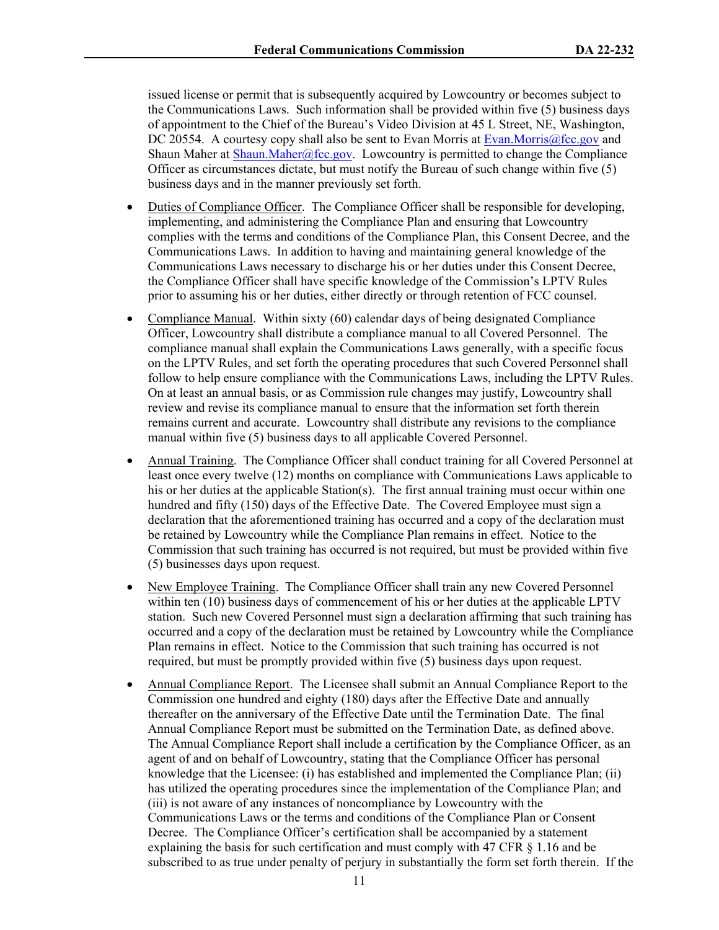issued license or permit that is subsequently acquired by Lowcountry or becomes subject to the Communications Laws. Such information shall be provided within five (5) business days of appointment to the Chief of the Bureau's Video Division at 45 L Street, NE, Washington, DC 20554. A courtesy copy shall also be sent to Evan Morris at [Evan.Morris@fcc.gov](mailto:Evan.Morris@fcc.gov) and Shaun Maher at [Shaun.Maher@fcc.gov](mailto:Shaun.Maher@fcc.gov). Lowcountry is permitted to change the Compliance Officer as circumstances dictate, but must notify the Bureau of such change within five (5) business days and in the manner previously set forth.

- Duties of Compliance Officer. The Compliance Officer shall be responsible for developing, implementing, and administering the Compliance Plan and ensuring that Lowcountry complies with the terms and conditions of the Compliance Plan, this Consent Decree, and the Communications Laws. In addition to having and maintaining general knowledge of the Communications Laws necessary to discharge his or her duties under this Consent Decree, the Compliance Officer shall have specific knowledge of the Commission's LPTV Rules prior to assuming his or her duties, either directly or through retention of FCC counsel.
- Compliance Manual. Within sixty (60) calendar days of being designated Compliance Officer, Lowcountry shall distribute a compliance manual to all Covered Personnel. The compliance manual shall explain the Communications Laws generally, with a specific focus on the LPTV Rules, and set forth the operating procedures that such Covered Personnel shall follow to help ensure compliance with the Communications Laws, including the LPTV Rules. On at least an annual basis, or as Commission rule changes may justify, Lowcountry shall review and revise its compliance manual to ensure that the information set forth therein remains current and accurate. Lowcountry shall distribute any revisions to the compliance manual within five (5) business days to all applicable Covered Personnel.
- Annual Training. The Compliance Officer shall conduct training for all Covered Personnel at least once every twelve (12) months on compliance with Communications Laws applicable to his or her duties at the applicable Station(s). The first annual training must occur within one hundred and fifty (150) days of the Effective Date. The Covered Employee must sign a declaration that the aforementioned training has occurred and a copy of the declaration must be retained by Lowcountry while the Compliance Plan remains in effect. Notice to the Commission that such training has occurred is not required, but must be provided within five (5) businesses days upon request.
- New Employee Training. The Compliance Officer shall train any new Covered Personnel within ten (10) business days of commencement of his or her duties at the applicable LPTV station. Such new Covered Personnel must sign a declaration affirming that such training has occurred and a copy of the declaration must be retained by Lowcountry while the Compliance Plan remains in effect. Notice to the Commission that such training has occurred is not required, but must be promptly provided within five (5) business days upon request.
- Annual Compliance Report. The Licensee shall submit an Annual Compliance Report to the Commission one hundred and eighty (180) days after the Effective Date and annually thereafter on the anniversary of the Effective Date until the Termination Date. The final Annual Compliance Report must be submitted on the Termination Date, as defined above. The Annual Compliance Report shall include a certification by the Compliance Officer, as an agent of and on behalf of Lowcountry, stating that the Compliance Officer has personal knowledge that the Licensee: (i) has established and implemented the Compliance Plan; (ii) has utilized the operating procedures since the implementation of the Compliance Plan; and (iii) is not aware of any instances of noncompliance by Lowcountry with the Communications Laws or the terms and conditions of the Compliance Plan or Consent Decree. The Compliance Officer's certification shall be accompanied by a statement explaining the basis for such certification and must comply with 47 CFR § 1.16 and be subscribed to as true under penalty of perjury in substantially the form set forth therein. If the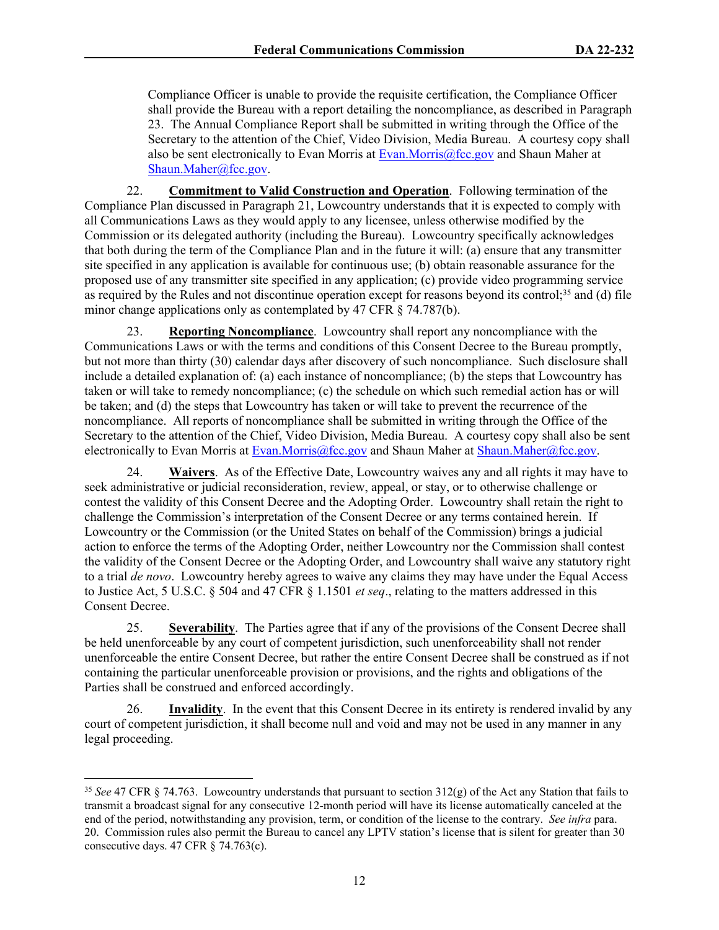Compliance Officer is unable to provide the requisite certification, the Compliance Officer shall provide the Bureau with a report detailing the noncompliance, as described in Paragraph 23. The Annual Compliance Report shall be submitted in writing through the Office of the Secretary to the attention of the Chief, Video Division, Media Bureau. A courtesy copy shall also be sent electronically to Evan Morris at [Evan.Morris@fcc.gov](mailto:Evan.Morris@fcc.gov) and Shaun Maher at [Shaun.Maher@fcc.gov.](mailto:Shaun.Maher@fcc.gov)

22. **Commitment to Valid Construction and Operation**. Following termination of the Compliance Plan discussed in Paragraph 21, Lowcountry understands that it is expected to comply with all Communications Laws as they would apply to any licensee, unless otherwise modified by the Commission or its delegated authority (including the Bureau). Lowcountry specifically acknowledges that both during the term of the Compliance Plan and in the future it will: (a) ensure that any transmitter site specified in any application is available for continuous use; (b) obtain reasonable assurance for the proposed use of any transmitter site specified in any application; (c) provide video programming service as required by the Rules and not discontinue operation except for reasons beyond its control;<sup>35</sup> and (d) file minor change applications only as contemplated by 47 CFR § 74.787(b).

23. **Reporting Noncompliance**. Lowcountry shall report any noncompliance with the Communications Laws or with the terms and conditions of this Consent Decree to the Bureau promptly, but not more than thirty (30) calendar days after discovery of such noncompliance. Such disclosure shall include a detailed explanation of: (a) each instance of noncompliance; (b) the steps that Lowcountry has taken or will take to remedy noncompliance; (c) the schedule on which such remedial action has or will be taken; and (d) the steps that Lowcountry has taken or will take to prevent the recurrence of the noncompliance. All reports of noncompliance shall be submitted in writing through the Office of the Secretary to the attention of the Chief, Video Division, Media Bureau. A courtesy copy shall also be sent electronically to Evan Morris at [Evan.Morris@fcc.gov](mailto:Evan.Morris@fcc.gov) and Shaun Maher at [Shaun.Maher@fcc.gov](mailto:Shaun.Maher@fcc.gov).

24. **Waivers**. As of the Effective Date, Lowcountry waives any and all rights it may have to seek administrative or judicial reconsideration, review, appeal, or stay, or to otherwise challenge or contest the validity of this Consent Decree and the Adopting Order. Lowcountry shall retain the right to challenge the Commission's interpretation of the Consent Decree or any terms contained herein. If Lowcountry or the Commission (or the United States on behalf of the Commission) brings a judicial action to enforce the terms of the Adopting Order, neither Lowcountry nor the Commission shall contest the validity of the Consent Decree or the Adopting Order, and Lowcountry shall waive any statutory right to a trial *de novo*. Lowcountry hereby agrees to waive any claims they may have under the Equal Access to Justice Act, 5 U.S.C. § 504 and 47 CFR § 1.1501 *et seq*., relating to the matters addressed in this Consent Decree.

25. **Severability**. The Parties agree that if any of the provisions of the Consent Decree shall be held unenforceable by any court of competent jurisdiction, such unenforceability shall not render unenforceable the entire Consent Decree, but rather the entire Consent Decree shall be construed as if not containing the particular unenforceable provision or provisions, and the rights and obligations of the Parties shall be construed and enforced accordingly.

26. **Invalidity**. In the event that this Consent Decree in its entirety is rendered invalid by any court of competent jurisdiction, it shall become null and void and may not be used in any manner in any legal proceeding.

<sup>35</sup> *See* 47 CFR § 74.763. Lowcountry understands that pursuant to section 312(g) of the Act any Station that fails to transmit a broadcast signal for any consecutive 12-month period will have its license automatically canceled at the end of the period, notwithstanding any provision, term, or condition of the license to the contrary. *See infra* para. 20. Commission rules also permit the Bureau to cancel any LPTV station's license that is silent for greater than 30 consecutive days. 47 CFR § 74.763(c).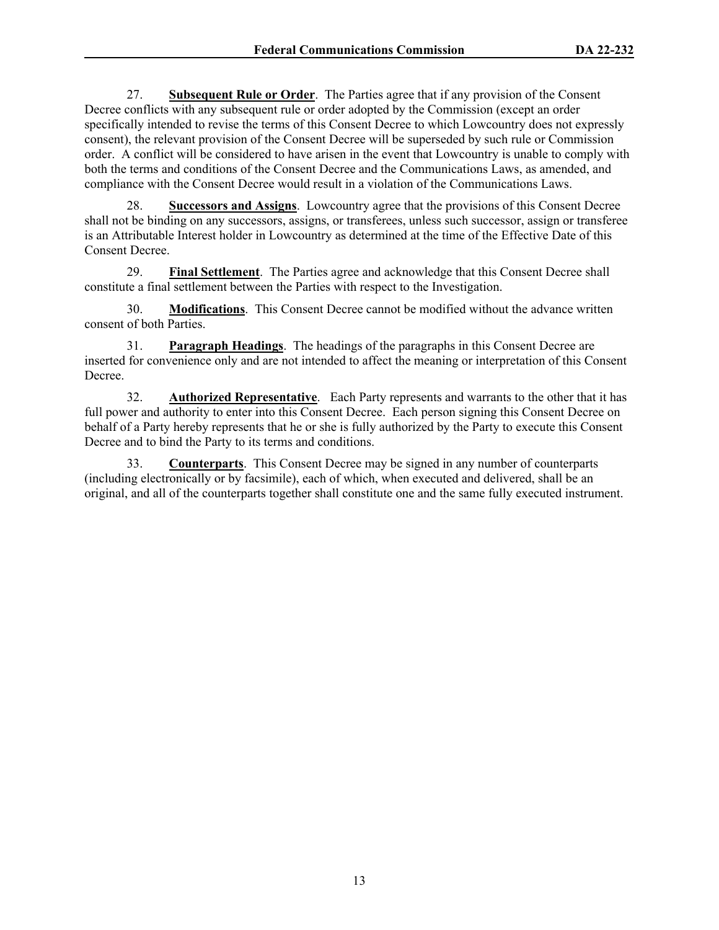27. **Subsequent Rule or Order**. The Parties agree that if any provision of the Consent Decree conflicts with any subsequent rule or order adopted by the Commission (except an order specifically intended to revise the terms of this Consent Decree to which Lowcountry does not expressly consent), the relevant provision of the Consent Decree will be superseded by such rule or Commission order. A conflict will be considered to have arisen in the event that Lowcountry is unable to comply with both the terms and conditions of the Consent Decree and the Communications Laws, as amended, and compliance with the Consent Decree would result in a violation of the Communications Laws.

28. **Successors and Assigns**. Lowcountry agree that the provisions of this Consent Decree shall not be binding on any successors, assigns, or transferees, unless such successor, assign or transferee is an Attributable Interest holder in Lowcountry as determined at the time of the Effective Date of this Consent Decree.

29. **Final Settlement**. The Parties agree and acknowledge that this Consent Decree shall constitute a final settlement between the Parties with respect to the Investigation.

30. **Modifications**. This Consent Decree cannot be modified without the advance written consent of both Parties.

31. **Paragraph Headings**. The headings of the paragraphs in this Consent Decree are inserted for convenience only and are not intended to affect the meaning or interpretation of this Consent Decree.

32. **Authorized Representative**. Each Party represents and warrants to the other that it has full power and authority to enter into this Consent Decree. Each person signing this Consent Decree on behalf of a Party hereby represents that he or she is fully authorized by the Party to execute this Consent Decree and to bind the Party to its terms and conditions.

33. **Counterparts**. This Consent Decree may be signed in any number of counterparts (including electronically or by facsimile), each of which, when executed and delivered, shall be an original, and all of the counterparts together shall constitute one and the same fully executed instrument.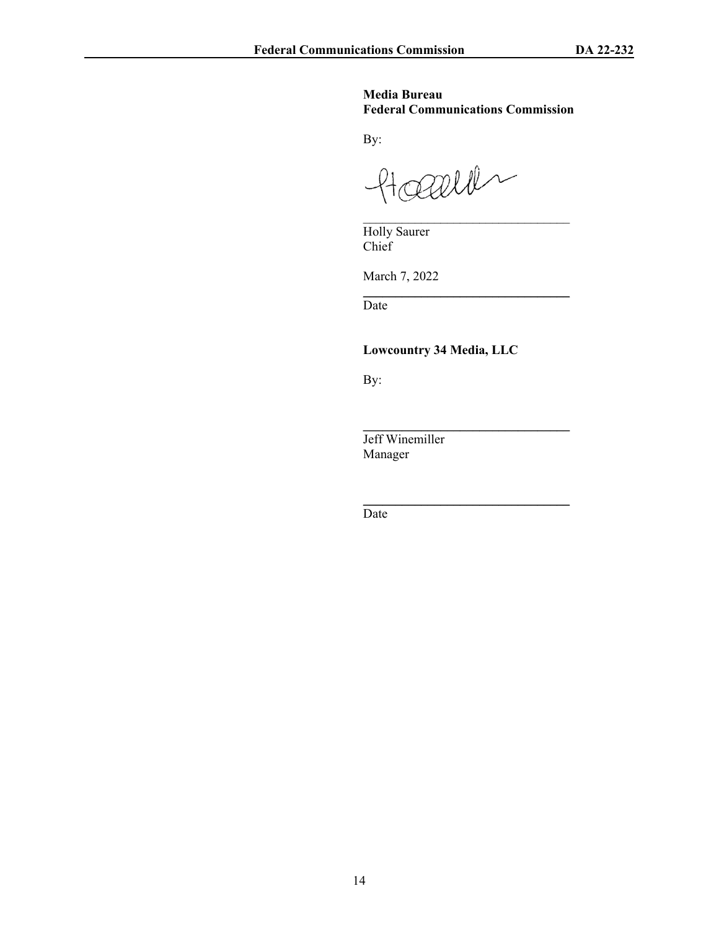## **Media Bureau Federal Communications Commission**

 $\mathcal{L}_\text{max}$ 

\_\_\_\_\_\_\_\_\_\_\_\_\_\_\_\_\_\_\_\_\_\_\_\_\_\_\_\_\_\_\_\_

**\_\_\_\_\_\_\_\_\_\_\_\_\_\_\_\_\_\_\_\_\_\_\_\_\_\_\_\_\_\_\_\_**

\_\_\_\_\_\_\_\_\_\_\_\_\_\_\_\_\_\_\_\_\_\_\_\_\_\_\_\_\_\_\_\_

By:

Hoepell

Holly Saurer Chief

March 7, 2022

Date

**Lowcountry 34 Media, LLC**

By:

Jeff Winemiller Manager

Date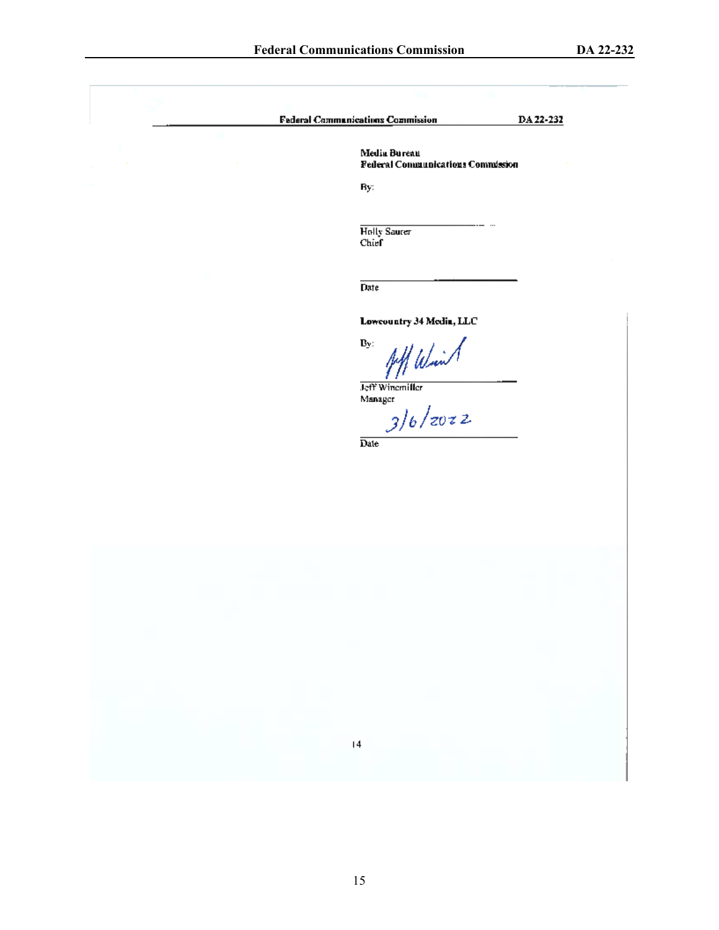| <b>Faderal Communications Commission</b><br>DA 22-232       |
|-------------------------------------------------------------|
| Media Bureau<br><b>Federal Communications Commission</b>    |
| By:                                                         |
| Holly Saurer<br>Chief                                       |
| Date                                                        |
| Lowcountry 34 Media, LLC<br>Aff Wind<br>$\mathbf{B}_\Sigma$ |
| Jeff Winemiller<br>Manager<br>3/6/z0z<br>Date               |
|                                                             |
|                                                             |
|                                                             |
|                                                             |
|                                                             |
|                                                             |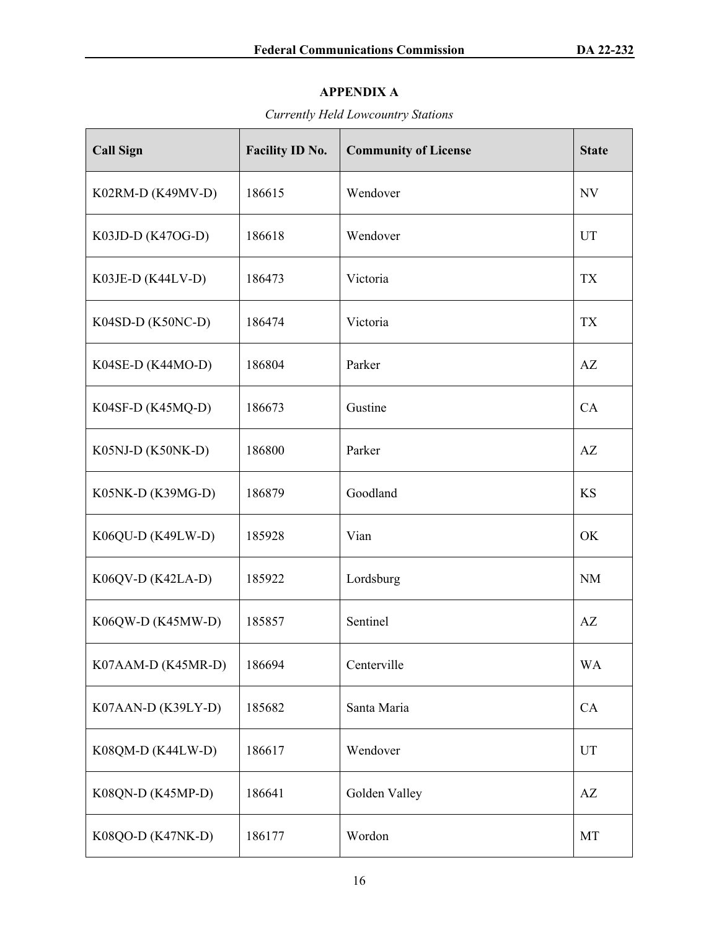## **APPENDIX A**

## *Currently Held Lowcountry Stations*

| <b>Call Sign</b>    | Facility ID No. | <b>Community of License</b> | <b>State</b>           |
|---------------------|-----------------|-----------------------------|------------------------|
| K02RM-D (K49MV-D)   | 186615          | Wendover                    | NV                     |
| K03JD-D (K47OG-D)   | 186618          | Wendover                    | UT                     |
| K03JE-D (K44LV-D)   | 186473          | Victoria                    | <b>TX</b>              |
| K04SD-D (K50NC-D)   | 186474          | Victoria                    | <b>TX</b>              |
| K04SE-D (K44MO-D)   | 186804          | Parker                      | AZ                     |
| K04SF-D (K45MQ-D)   | 186673          | Gustine                     | CA                     |
| K05NJ-D (K50NK-D)   | 186800          | Parker                      | AZ                     |
| K05NK-D (K39MG-D)   | 186879          | Goodland                    | <b>KS</b>              |
| K06QU-D (K49LW-D)   | 185928          | Vian                        | OK                     |
| $K06QV-D (K42LA-D)$ | 185922          | Lordsburg                   | <b>NM</b>              |
| K06QW-D (K45MW-D)   | 185857          | Sentinel                    | AZ                     |
| K07AAM-D (K45MR-D)  | 186694          | Centerville                 | <b>WA</b>              |
| K07AAN-D (K39LY-D)  | 185682          | Santa Maria                 | CA                     |
| K08QM-D (K44LW-D)   | 186617          | Wendover                    | UT                     |
| K08QN-D (K45MP-D)   | 186641          | Golden Valley               | $\mathbf{A}\mathbf{Z}$ |
| K08QO-D (K47NK-D)   | 186177          | Wordon                      | MT                     |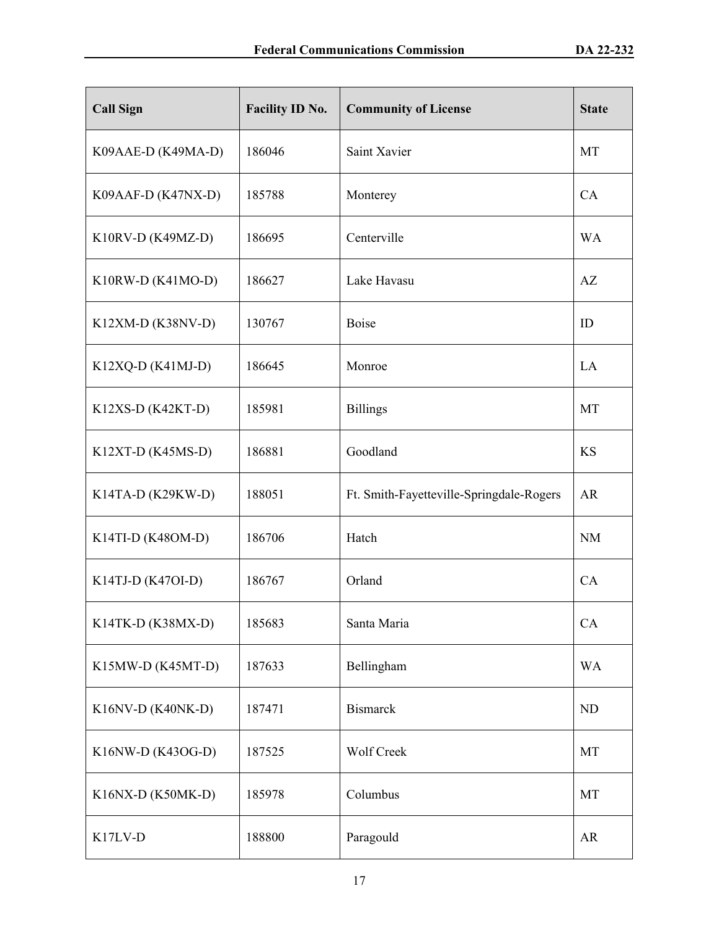| <b>Call Sign</b>    | <b>Facility ID No.</b> | <b>Community of License</b>              | <b>State</b> |
|---------------------|------------------------|------------------------------------------|--------------|
| K09AAE-D (K49MA-D)  | 186046                 | Saint Xavier                             | MT           |
| K09AAF-D (K47NX-D)  | 185788                 | Monterey                                 | CA           |
| $K10RV-D (K49MZ-D)$ | 186695                 | Centerville                              | <b>WA</b>    |
| $K10RW-D (K41MO-D)$ | 186627                 | Lake Havasu                              | AZ           |
| $K12XM-D (K38NV-D)$ | 130767                 | <b>Boise</b>                             | ID           |
| $K12XQ-D (K41MJ-D)$ | 186645                 | Monroe                                   | LA           |
| $K12XS-D (K42KT-D)$ | 185981                 | <b>Billings</b>                          | MT           |
| K12XT-D (K45MS-D)   | 186881                 | Goodland                                 | <b>KS</b>    |
| $K14TA-D (K29KW-D)$ | 188051                 | Ft. Smith-Fayetteville-Springdale-Rogers | <b>AR</b>    |
| K14TI-D (K48OM-D)   | 186706                 | Hatch                                    | <b>NM</b>    |
| K14TJ-D $(K47OI-D)$ | 186767                 | Orland                                   | CA           |
| K14TK-D (K38MX-D)   | 185683                 | Santa Maria                              | CA           |
| K15MW-D (K45MT-D)   | 187633                 | Bellingham                               | <b>WA</b>    |
| K16NV-D (K40NK-D)   | 187471                 | <b>Bismarck</b>                          | ND           |
| K16NW-D (K43OG-D)   | 187525                 | Wolf Creek                               | MT           |
| K16NX-D (K50MK-D)   | 185978                 | Columbus                                 | MT           |
| K17LV-D             | 188800                 | Paragould                                | AR           |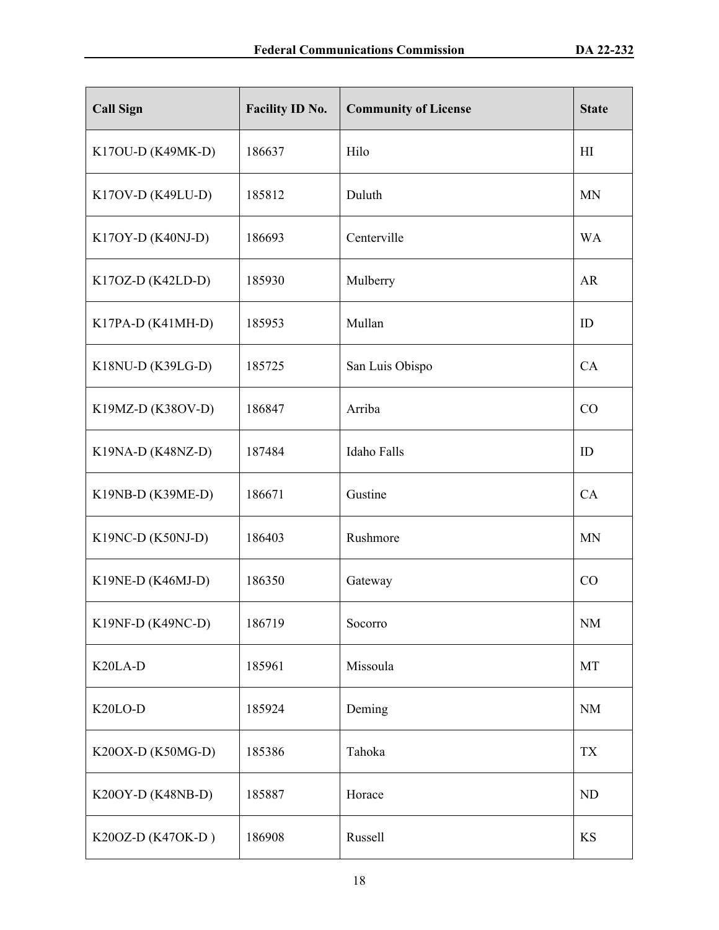| <b>Call Sign</b>    | <b>Facility ID No.</b> | <b>Community of License</b> | <b>State</b> |
|---------------------|------------------------|-----------------------------|--------------|
| K17OU-D (K49MK-D)   | 186637                 | Hilo                        | H1           |
| K17OV-D (K49LU-D)   | 185812                 | Duluth                      | <b>MN</b>    |
| K17OY-D (K40NJ-D)   | 186693                 | Centerville                 | <b>WA</b>    |
| K17OZ-D (K42LD-D)   | 185930                 | Mulberry                    | <b>AR</b>    |
| K17PA-D (K41MH-D)   | 185953                 | Mullan                      | ID           |
| K18NU-D (K39LG-D)   | 185725                 | San Luis Obispo             | CA           |
| K19MZ-D (K38OV-D)   | 186847                 | Arriba                      | CO           |
| K19NA-D (K48NZ-D)   | 187484                 | <b>Idaho Falls</b>          | ID           |
| K19NB-D (K39ME-D)   | 186671                 | Gustine                     | CA           |
| $K19NC-D (K50NJ-D)$ | 186403                 | Rushmore                    | <b>MN</b>    |
| K19NE-D (K46MJ-D)   | 186350                 | Gateway                     | CO           |
| K19NF-D (K49NC-D)   | 186719                 | Socorro                     | <b>NM</b>    |
| K20LA-D             | 185961                 | Missoula                    | MT           |
| K20LO-D             | 185924                 | Deming                      | <b>NM</b>    |
| K20OX-D (K50MG-D)   | 185386                 | Tahoka                      | TX           |
| K20OY-D (K48NB-D)   | 185887                 | Horace                      | ND           |
| K20OZ-D (K47OK-D)   | 186908                 | Russell                     | KS           |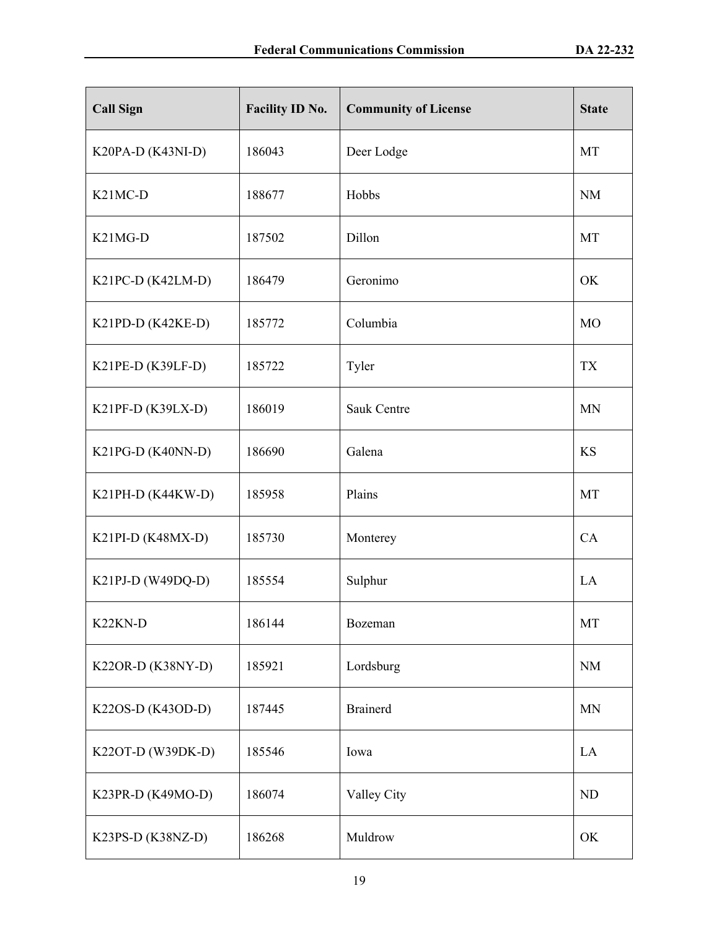| <b>Call Sign</b>                  | <b>Facility ID No.</b> | <b>Community of License</b> | <b>State</b> |
|-----------------------------------|------------------------|-----------------------------|--------------|
| K20PA-D (K43NI-D)                 | 186043                 | Deer Lodge                  | MT           |
| K <sub>21</sub> MC-D              | 188677                 | Hobbs                       | $\rm NM$     |
| K <sub>2</sub> 1M <sub>G</sub> -D | 187502                 | Dillon                      | MT           |
| K21PC-D (K42LM-D)                 | 186479                 | Geronimo                    | OK           |
| K21PD-D (K42KE-D)                 | 185772                 | Columbia                    | <b>MO</b>    |
| $K21PE-D (K39LF-D)$               | 185722                 | Tyler                       | <b>TX</b>    |
| K21PF-D (K39LX-D)                 | 186019                 | <b>Sauk Centre</b>          | <b>MN</b>    |
| K21PG-D (K40NN-D)                 | 186690                 | Galena                      | <b>KS</b>    |
| K21PH-D (K44KW-D)                 | 185958                 | Plains                      | MT           |
| K21PI-D (K48MX-D)                 | 185730                 | Monterey                    | CA           |
| K21PJ-D (W49DQ-D)                 | 185554                 | Sulphur                     | LA           |
| K <sub>22</sub> KN-D              | 186144                 | Bozeman                     | MT           |
| K22OR-D (K38NY-D)                 | 185921                 | Lordsburg                   | $\rm{NM}$    |
| K22OS-D (K43OD-D)                 | 187445                 | <b>Brainerd</b>             | <b>MN</b>    |
| K22OT-D (W39DK-D)                 | 185546                 | Iowa                        | LA           |
| K23PR-D (K49MO-D)                 | 186074                 | Valley City                 | ND           |
| K23PS-D (K38NZ-D)                 | 186268                 | Muldrow                     | OK           |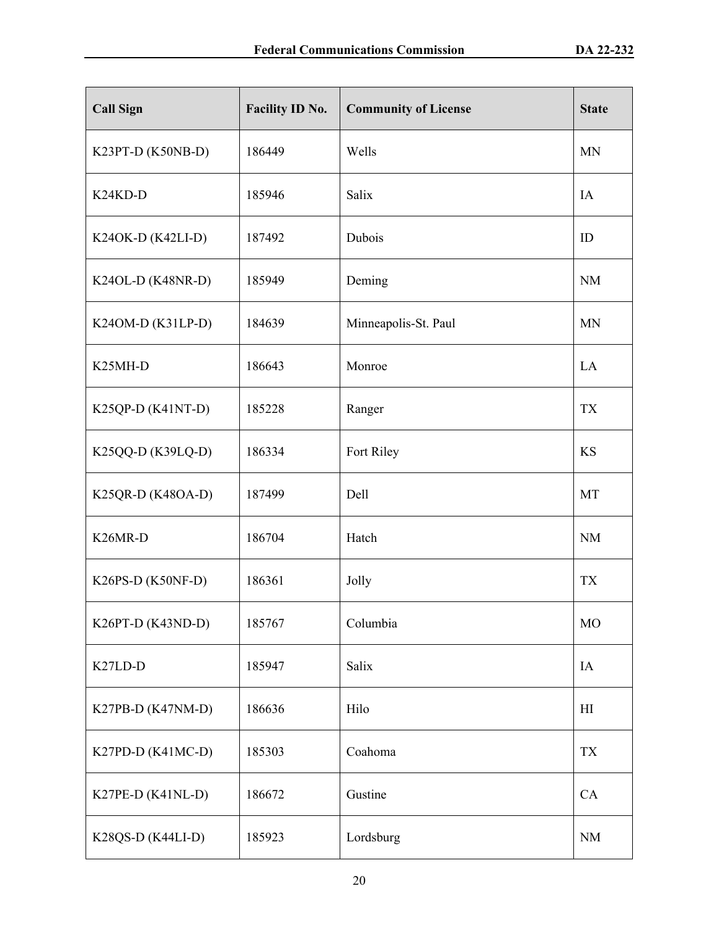| <b>Call Sign</b>                  | Facility ID No. | <b>Community of License</b> | <b>State</b>   |
|-----------------------------------|-----------------|-----------------------------|----------------|
| K23PT-D (K50NB-D)                 | 186449          | Wells                       | <b>MN</b>      |
| K <sub>24</sub> K <sub>D</sub> -D | 185946          | Salix                       | IA             |
| K240K-D (K42LI-D)                 | 187492          | Dubois                      | ID             |
| K24OL-D (K48NR-D)                 | 185949          | Deming                      | <b>NM</b>      |
| K24OM-D (K31LP-D)                 | 184639          | Minneapolis-St. Paul        | <b>MN</b>      |
| K <sub>25</sub> MH-D              | 186643          | Monroe                      | LA             |
| K25QP-D (K41NT-D)                 | 185228          | Ranger                      | <b>TX</b>      |
| K25QQ-D (K39LQ-D)                 | 186334          | Fort Riley                  | <b>KS</b>      |
| K25QR-D (K48OA-D)                 | 187499          | Dell                        | MT             |
| K <sub>26</sub> MR-D              | 186704          | Hatch                       | <b>NM</b>      |
| K26PS-D (K50NF-D)                 | 186361          | Jolly                       | <b>TX</b>      |
| K26PT-D (K43ND-D)                 | 185767          | Columbia                    | <b>MO</b>      |
| K <sub>27</sub> LD-D              | 185947          | Salix                       | IA             |
| K27PB-D (K47NM-D)                 | 186636          | Hilo                        | H <sub>I</sub> |
| K27PD-D (K41MC-D)                 | 185303          | Coahoma                     | <b>TX</b>      |
| K27PE-D (K41NL-D)                 | 186672          | Gustine                     | CA             |
| K28QS-D (K44LI-D)                 | 185923          | Lordsburg                   | <b>NM</b>      |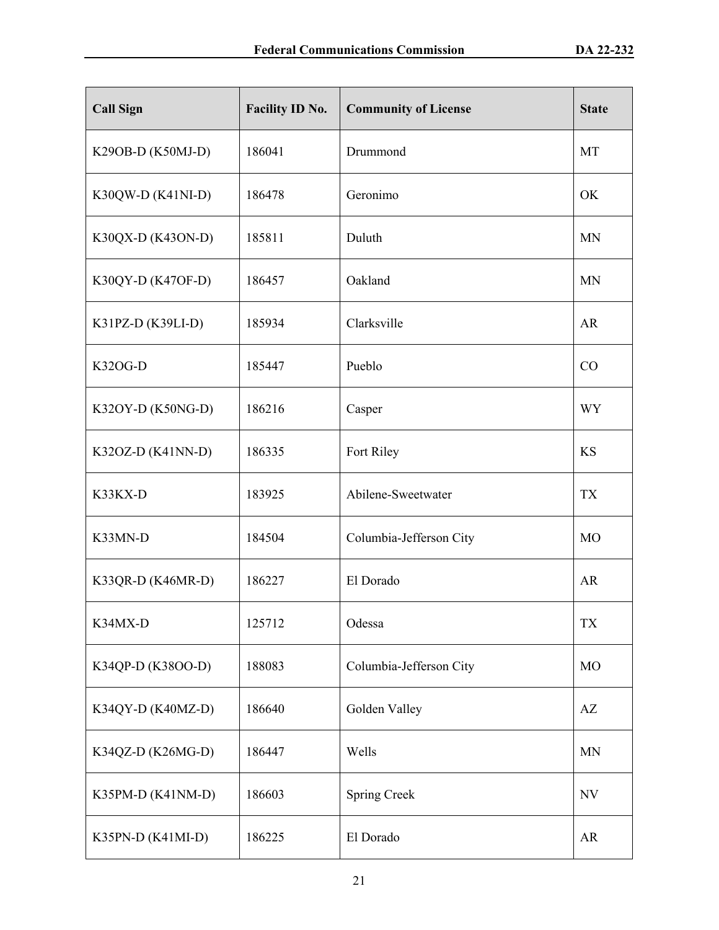| <b>Call Sign</b>    | Facility ID No. | <b>Community of License</b> | <b>State</b>   |
|---------------------|-----------------|-----------------------------|----------------|
| K29OB-D (K50MJ-D)   | 186041          | Drummond                    | MT             |
| K30QW-D (K41NI-D)   | 186478          | Geronimo                    | OK             |
| K30QX-D (K43ON-D)   | 185811          | Duluth                      | <b>MN</b>      |
| K30QY-D (K47OF-D)   | 186457          | Oakland                     | <b>MN</b>      |
| K31PZ-D (K39LI-D)   | 185934          | Clarksville                 | AR             |
| <b>K32OG-D</b>      | 185447          | Pueblo                      | CO             |
| K32OY-D (K50NG-D)   | 186216          | Casper                      | <b>WY</b>      |
| K32OZ-D $(K41NN-D)$ | 186335          | Fort Riley                  | <b>KS</b>      |
| K33KX-D             | 183925          | Abilene-Sweetwater          | <b>TX</b>      |
| K33MN-D             | 184504          | Columbia-Jefferson City     | M <sub>O</sub> |
| K33QR-D (K46MR-D)   | 186227          | El Dorado                   | AR             |
| K34MX-D             | 125712          | Odessa                      | <b>TX</b>      |
| K34QP-D (K38OO-D)   | 188083          | Columbia-Jefferson City     | M <sub>O</sub> |
| K34QY-D (K40MZ-D)   | 186640          | Golden Valley               | AZ             |
| K34QZ-D (K26MG-D)   | 186447          | Wells                       | <b>MN</b>      |
| K35PM-D (K41NM-D)   | 186603          | <b>Spring Creek</b>         | NV             |
| K35PN-D (K41MI-D)   | 186225          | El Dorado                   | AR             |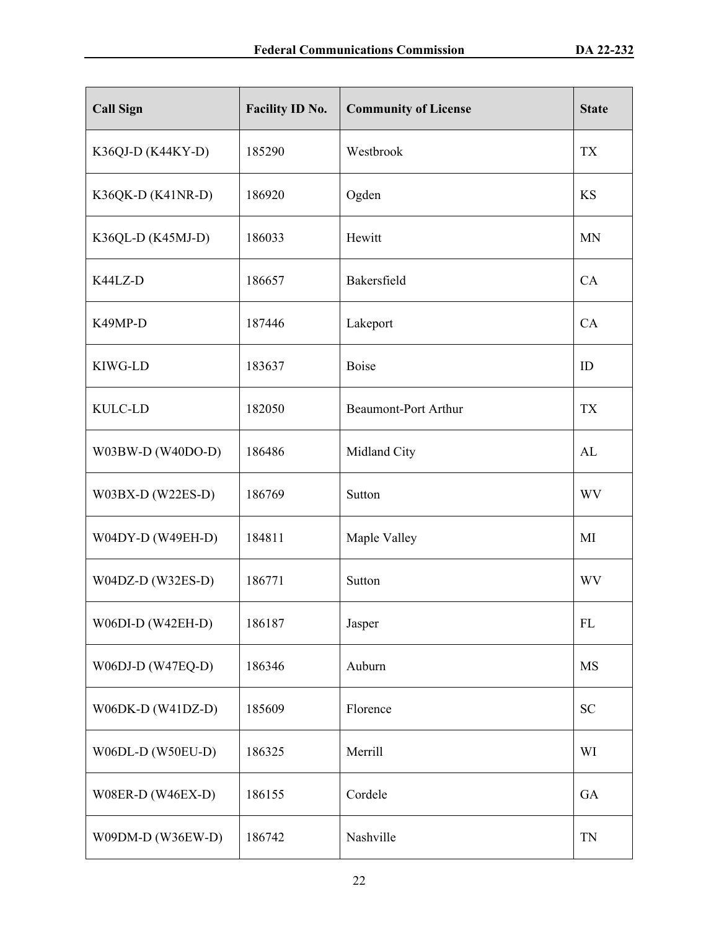| <b>Call Sign</b>    | Facility ID No. | <b>Community of License</b> | <b>State</b> |
|---------------------|-----------------|-----------------------------|--------------|
| K36QJ-D (K44KY-D)   | 185290          | Westbrook                   | <b>TX</b>    |
| K36QK-D (K41NR-D)   | 186920          | Ogden                       | <b>KS</b>    |
| K36QL-D (K45MJ-D)   | 186033          | Hewitt                      | <b>MN</b>    |
| K44LZ-D             | 186657          | Bakersfield                 | CA           |
| K49MP-D             | 187446          | Lakeport                    | CA           |
| KIWG-LD             | 183637          | <b>Boise</b>                | ID           |
| <b>KULC-LD</b>      | 182050          | <b>Beaumont-Port Arthur</b> | <b>TX</b>    |
| W03BW-D (W40DO-D)   | 186486          | Midland City                | AL           |
| $W03BX-D (W22ES-D)$ | 186769          | Sutton                      | <b>WV</b>    |
| W04DY-D (W49EH-D)   | 184811          | Maple Valley                | MI           |
| $W04DZ-D (W32ES-D)$ | 186771          | Sutton                      | <b>WV</b>    |
| W06DI-D (W42EH-D)   | 186187          | Jasper                      | FL           |
| W06DJ-D (W47EQ-D)   | 186346          | Auburn                      | <b>MS</b>    |
| W06DK-D (W41DZ-D)   | 185609          | Florence                    | <b>SC</b>    |
| W06DL-D (W50EU-D)   | 186325          | Merrill                     | WI           |
| W08ER-D (W46EX-D)   | 186155          | Cordele                     | GA           |
| W09DM-D (W36EW-D)   | 186742          | Nashville                   | TN           |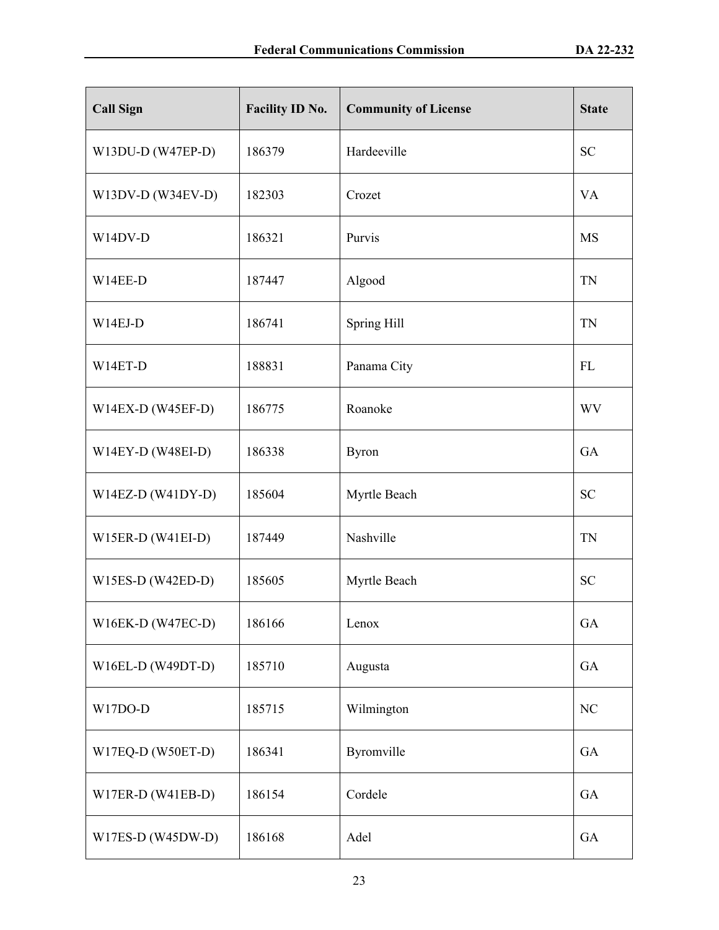| <b>Call Sign</b>    | Facility ID No. | <b>Community of License</b> | <b>State</b> |
|---------------------|-----------------|-----------------------------|--------------|
| W13DU-D (W47EP-D)   | 186379          | Hardeeville                 | <b>SC</b>    |
| W13DV-D (W34EV-D)   | 182303          | Crozet                      | <b>VA</b>    |
| W14DV-D             | 186321          | Purvis                      | <b>MS</b>    |
| W14EE-D             | 187447          | Algood                      | TN           |
| $W14EJ-D$           | 186741          | Spring Hill                 | <b>TN</b>    |
| W14ET-D             | 188831          | Panama City                 | FL           |
| $W14EX-D (W45EF-D)$ | 186775          | Roanoke                     | <b>WV</b>    |
| W14EY-D (W48EI-D)   | 186338          | <b>Byron</b>                | GA           |
| $W14EZ-D (W41DY-D)$ | 185604          | Myrtle Beach                | <b>SC</b>    |
| $W15ER-D (W41EI-D)$ | 187449          | Nashville                   | <b>TN</b>    |
| $W15ES-D (W42ED-D)$ | 185605          | Myrtle Beach                | <b>SC</b>    |
| W16EK-D (W47EC-D)   | 186166          | Lenox                       | GA           |
| W16EL-D (W49DT-D)   | 185710          | Augusta                     | GA           |
| W17DO-D             | 185715          | Wilmington                  | NC           |
| W17EQ-D (W50ET-D)   | 186341          | Byromville                  | GA           |
| W17ER-D (W41EB-D)   | 186154          | Cordele                     | GA           |
| W17ES-D (W45DW-D)   | 186168          | Adel                        | GA           |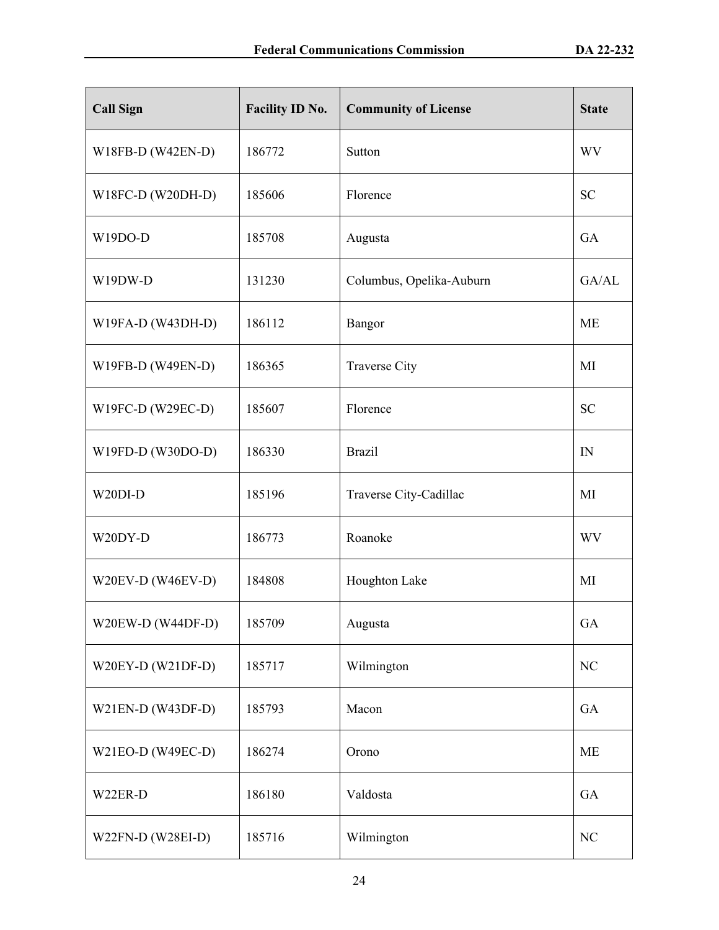| <b>Call Sign</b>    | Facility ID No. | <b>Community of License</b> | <b>State</b> |
|---------------------|-----------------|-----------------------------|--------------|
| W18FB-D (W42EN-D)   | 186772          | Sutton                      | WV           |
| W18FC-D (W20DH-D)   | 185606          | Florence                    | <b>SC</b>    |
| W19DO-D             | 185708          | Augusta                     | GA           |
| W19DW-D             | 131230          | Columbus, Opelika-Auburn    | GA/AL        |
| W19FA-D (W43DH-D)   | 186112          | Bangor                      | ME           |
| W19FB-D (W49EN-D)   | 186365          | <b>Traverse City</b>        | MI           |
| W19FC-D (W29EC-D)   | 185607          | Florence                    | <b>SC</b>    |
| W19FD-D (W30DO-D)   | 186330          | <b>Brazil</b>               | IN           |
| W20DI-D             | 185196          | Traverse City-Cadillac      | MI           |
| W20DY-D             | 186773          | Roanoke                     | <b>WV</b>    |
| W20EV-D (W46EV-D)   | 184808          | Houghton Lake               | MI           |
| W20EW-D (W44DF-D)   | 185709          | Augusta                     | GA           |
| $W20EY-D (W21DF-D)$ | 185717          | Wilmington                  | NC           |
| $W21EN-D (W43DF-D)$ | 185793          | Macon                       | GA           |
| W21EO-D (W49EC-D)   | 186274          | Orono                       | <b>ME</b>    |
| W22ER-D             | 186180          | Valdosta                    | GA           |
| W22FN-D (W28EI-D)   | 185716          | Wilmington                  | NC           |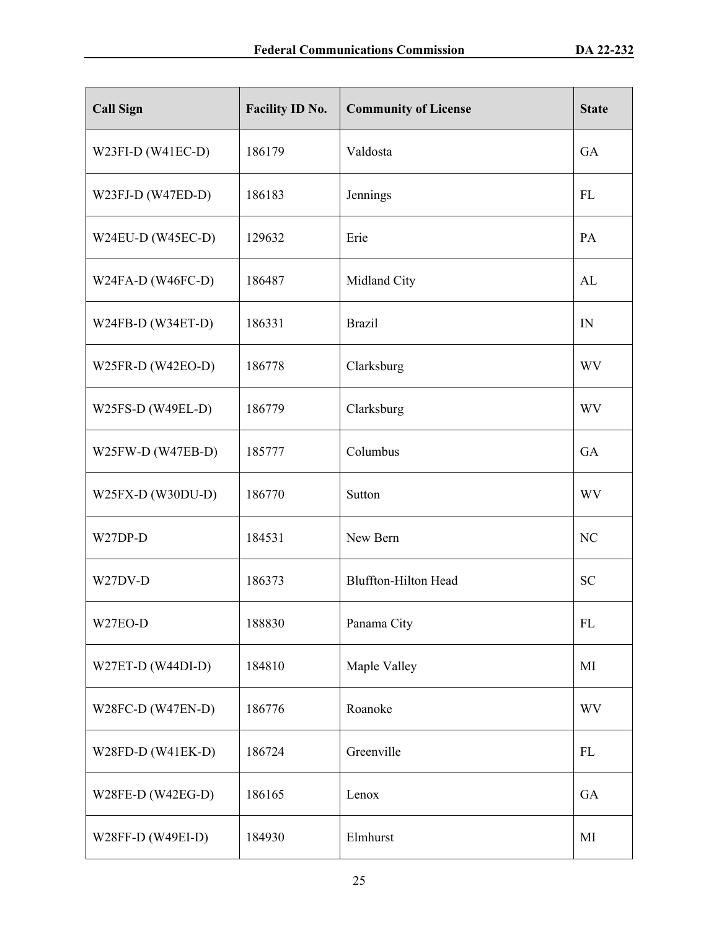| <b>Call Sign</b>    | Facility ID No. | <b>Community of License</b> | <b>State</b> |
|---------------------|-----------------|-----------------------------|--------------|
| W23FI-D (W41EC-D)   | 186179          | Valdosta                    | GA           |
| W23FJ-D $(W47ED-D)$ | 186183          | Jennings                    | FL           |
| W24EU-D (W45EC-D)   | 129632          | Erie                        | PA           |
| W24FA-D (W46FC-D)   | 186487          | Midland City                | AL           |
| $W24FB-D (W34ET-D)$ | 186331          | <b>Brazil</b>               | IN           |
| W25FR-D (W42EO-D)   | 186778          | Clarksburg                  | WV           |
| W25FS-D (W49EL-D)   | 186779          | Clarksburg                  | WV           |
| W25FW-D (W47EB-D)   | 185777          | Columbus                    | GA           |
| W25FX-D (W30DU-D)   | 186770          | Sutton                      | <b>WV</b>    |
| W27DP-D             | 184531          | New Bern                    | NC           |
| W27DV-D             | 186373          | <b>Bluffton-Hilton Head</b> | <b>SC</b>    |
| W27EO-D             | 188830          | Panama City                 | ${\rm FL}$   |
| W27ET-D (W44DI-D)   | 184810          | Maple Valley                | MI           |
| W28FC-D (W47EN-D)   | 186776          | Roanoke                     | <b>WV</b>    |
| W28FD-D (W41EK-D)   | 186724          | Greenville                  | FL           |
| W28FE-D (W42EG-D)   | 186165          | Lenox                       | GA           |
| W28FF-D (W49EI-D)   | 184930          | Elmhurst                    | MI           |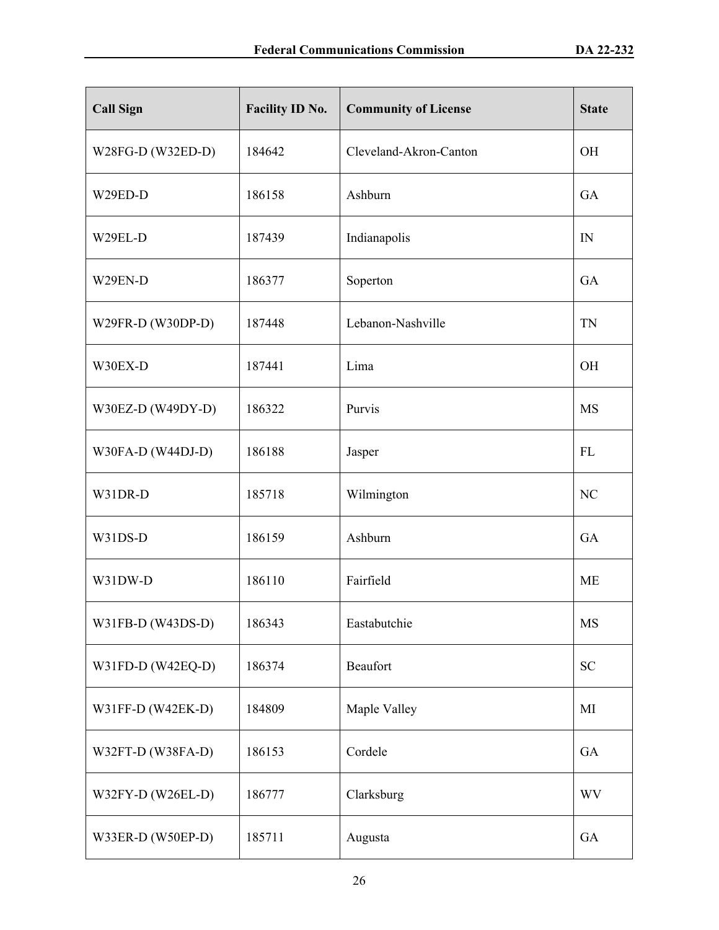| <b>Call Sign</b>  | <b>Facility ID No.</b> | <b>Community of License</b> | <b>State</b> |
|-------------------|------------------------|-----------------------------|--------------|
| W28FG-D (W32ED-D) | 184642                 | Cleveland-Akron-Canton      | <b>OH</b>    |
| W29ED-D           | 186158                 | Ashburn                     | GA           |
| W29EL-D           | 187439                 | Indianapolis                | IN           |
| W29EN-D           | 186377                 | Soperton                    | GA           |
| W29FR-D (W30DP-D) | 187448                 | Lebanon-Nashville           | <b>TN</b>    |
| W30EX-D           | 187441                 | Lima                        | <b>OH</b>    |
| W30EZ-D (W49DY-D) | 186322                 | Purvis                      | <b>MS</b>    |
| W30FA-D (W44DJ-D) | 186188                 | Jasper                      | FL           |
| W31DR-D           | 185718                 | Wilmington                  | NC           |
| W31DS-D           | 186159                 | Ashburn                     | GA           |
| W31DW-D           | 186110                 | Fairfield                   | <b>ME</b>    |
| W31FB-D (W43DS-D) | 186343                 | Eastabutchie                | MS           |
| W31FD-D (W42EQ-D) | 186374                 | Beaufort                    | <b>SC</b>    |
| W31FF-D (W42EK-D) | 184809                 | Maple Valley                | MI           |
| W32FT-D (W38FA-D) | 186153                 | Cordele                     | GA           |
| W32FY-D (W26EL-D) | 186777                 | Clarksburg                  | <b>WV</b>    |
| W33ER-D (W50EP-D) | 185711                 | Augusta                     | GA           |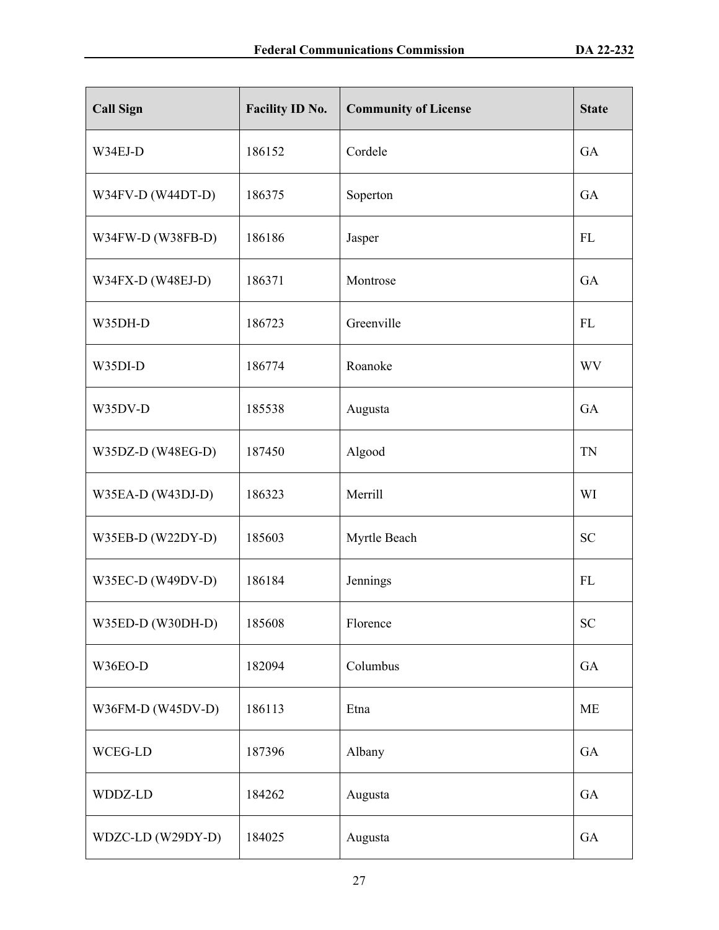| <b>Call Sign</b>  | Facility ID No. | <b>Community of License</b> | <b>State</b> |
|-------------------|-----------------|-----------------------------|--------------|
| W34EJ-D           | 186152          | Cordele                     | GA           |
| W34FV-D (W44DT-D) | 186375          | Soperton                    | <b>GA</b>    |
| W34FW-D (W38FB-D) | 186186          | Jasper                      | FL           |
| W34FX-D (W48EJ-D) | 186371          | Montrose                    | GA           |
| W35DH-D           | 186723          | Greenville                  | FL           |
| W35DI-D           | 186774          | Roanoke                     | <b>WV</b>    |
| W35DV-D           | 185538          | Augusta                     | GA           |
| W35DZ-D (W48EG-D) | 187450          | Algood                      | <b>TN</b>    |
| W35EA-D (W43DJ-D) | 186323          | Merrill                     | WI           |
| W35EB-D (W22DY-D) | 185603          | Myrtle Beach                | <b>SC</b>    |
| W35EC-D (W49DV-D) | 186184          | Jennings                    | FL           |
| W35ED-D (W30DH-D) | 185608          | Florence                    | <b>SC</b>    |
| W36EO-D           | 182094          | Columbus                    | GA           |
| W36FM-D (W45DV-D) | 186113          | Etna                        | <b>ME</b>    |
| WCEG-LD           | 187396          | Albany                      | GA           |
| WDDZ-LD           | 184262          | Augusta                     | GA           |
| WDZC-LD (W29DY-D) | 184025          | Augusta                     | GA           |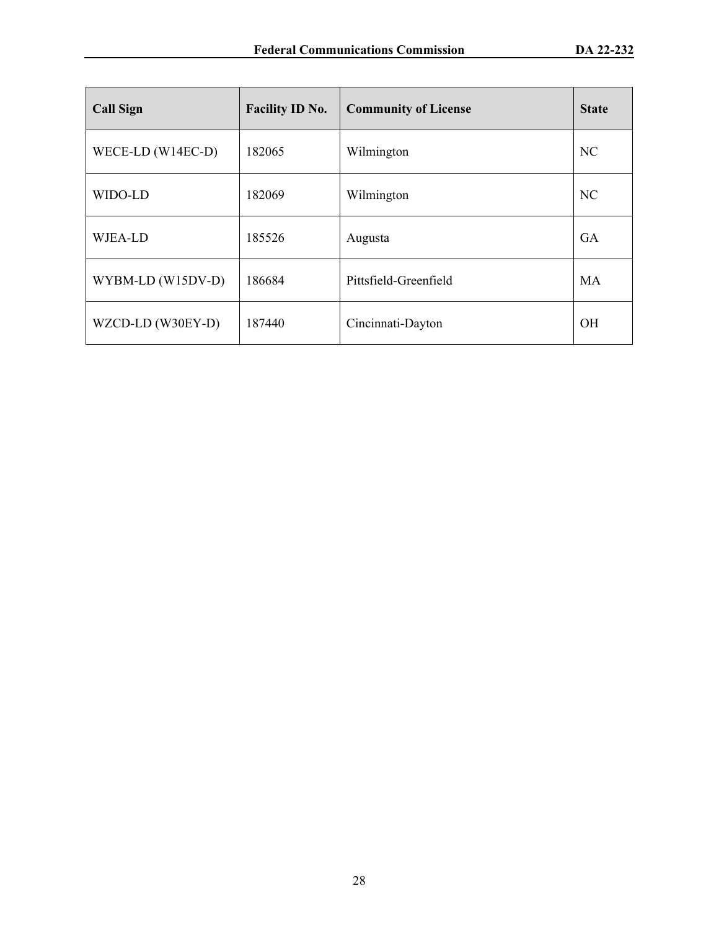| <b>Call Sign</b>    | <b>Facility ID No.</b><br><b>Community of License</b> |                       | <b>State</b>   |
|---------------------|-------------------------------------------------------|-----------------------|----------------|
| WECE-LD $(W14EC-D)$ | 182065                                                | Wilmington            | N <sub>C</sub> |
| WIDO-LD             | 182069                                                | Wilmington            | N <sub>C</sub> |
| WJEA-LD             | 185526                                                | Augusta               | GA             |
| WYBM-LD (W15DV-D)   | 186684                                                | Pittsfield-Greenfield | MA             |
| WZCD-LD (W30EY-D)   | 187440                                                | Cincinnati-Dayton     | <b>OH</b>      |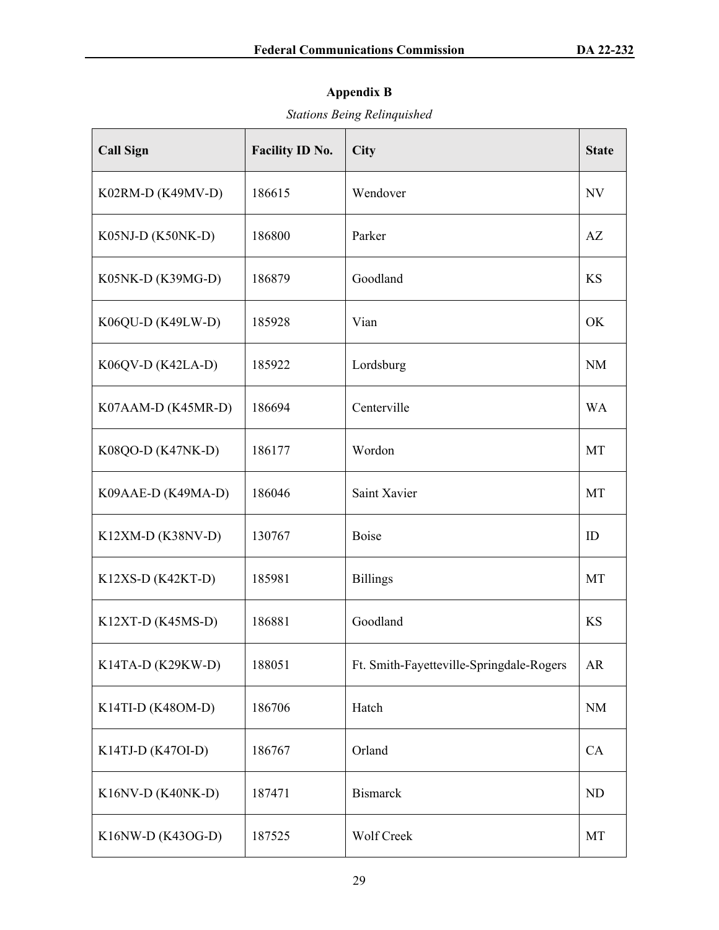# **Appendix B**

# *Stations Being Relinquished*

| <b>Call Sign</b>    | Facility ID No. | City                                     | <b>State</b> |
|---------------------|-----------------|------------------------------------------|--------------|
| K02RM-D (K49MV-D)   | 186615          | Wendover                                 | NV           |
| K05NJ-D (K50NK-D)   | 186800          | Parker                                   | AZ           |
| K05NK-D (K39MG-D)   | 186879          | Goodland                                 | KS           |
| $K06QU-D (K49LW-D)$ | 185928          | Vian                                     | OK           |
| K06QV-D (K42LA-D)   | 185922          | Lordsburg                                | <b>NM</b>    |
| K07AAM-D (K45MR-D)  | 186694          | Centerville                              | <b>WA</b>    |
| K08QO-D (K47NK-D)   | 186177          | Wordon                                   | MT           |
| K09AAE-D (K49MA-D)  | 186046          | Saint Xavier                             | <b>MT</b>    |
| K12XM-D (K38NV-D)   | 130767          | <b>Boise</b>                             | ID           |
| $K12XS-D (K42KT-D)$ | 185981          | <b>Billings</b>                          | MT           |
| $K12XT-D (K45MS-D)$ | 186881          | Goodland                                 | <b>KS</b>    |
| K14TA-D (K29KW-D)   | 188051          | Ft. Smith-Fayetteville-Springdale-Rogers | <b>AR</b>    |
| K14TI-D (K48OM-D)   | 186706          | Hatch                                    | <b>NM</b>    |
| K14TJ-D (K47OI-D)   | 186767          | Orland                                   | CA           |
| K16NV-D (K40NK-D)   | 187471          | <b>Bismarck</b>                          | <b>ND</b>    |
| K16NW-D (K43OG-D)   | 187525          | Wolf Creek                               | MT           |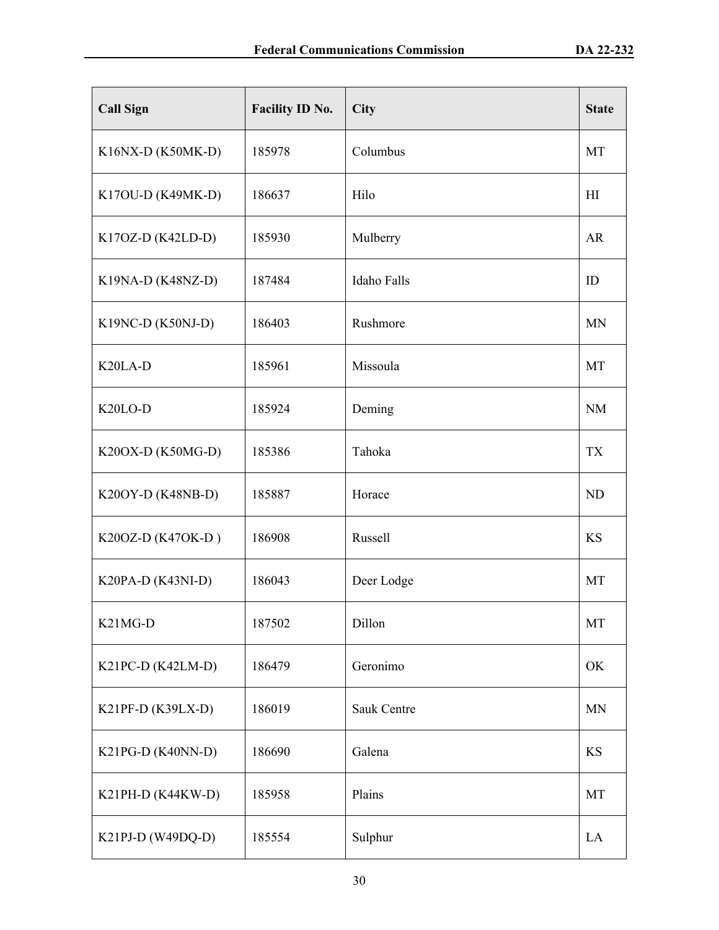| <b>Call Sign</b>                  | Facility ID No. | City               | <b>State</b> |
|-----------------------------------|-----------------|--------------------|--------------|
| K16NX-D (K50MK-D)                 | 185978          | Columbus           | MT           |
| K17OU-D (K49MK-D)                 | 186637          | Hilo               | HI           |
| K17OZ-D (K42LD-D)                 | 185930          | Mulberry           | <b>AR</b>    |
| K19NA-D (K48NZ-D)                 | 187484          | <b>Idaho Falls</b> | ID           |
| $K19NC-D (K50NJ-D)$               | 186403          | Rushmore           | <b>MN</b>    |
| K <sub>20</sub> L <sub>A</sub> -D | 185961          | Missoula           | MT           |
| K <sub>20</sub> LO-D              | 185924          | Deming             | NM           |
| K20OX-D (K50MG-D)                 | 185386          | Tahoka             | <b>TX</b>    |
| K20OY-D (K48NB-D)                 | 185887          | Horace             | <b>ND</b>    |
| K20OZ-D (K47OK-D)                 | 186908          | Russell            | <b>KS</b>    |
| K20PA-D (K43NI-D)                 | 186043          | Deer Lodge         | MT           |
| K <sub>21</sub> M <sub>G</sub> -D | 187502          | Dillon             | MT           |
| K21PC-D (K42LM-D)                 | 186479          | Geronimo           | OK           |
| K21PF-D (K39LX-D)                 | 186019          | Sauk Centre        | <b>MN</b>    |
| K21PG-D (K40NN-D)                 | 186690          | Galena             | KS           |
| K21PH-D (K44KW-D)                 | 185958          | Plains             | MT           |
| K21PJ-D (W49DQ-D)                 | 185554          | Sulphur            | LA           |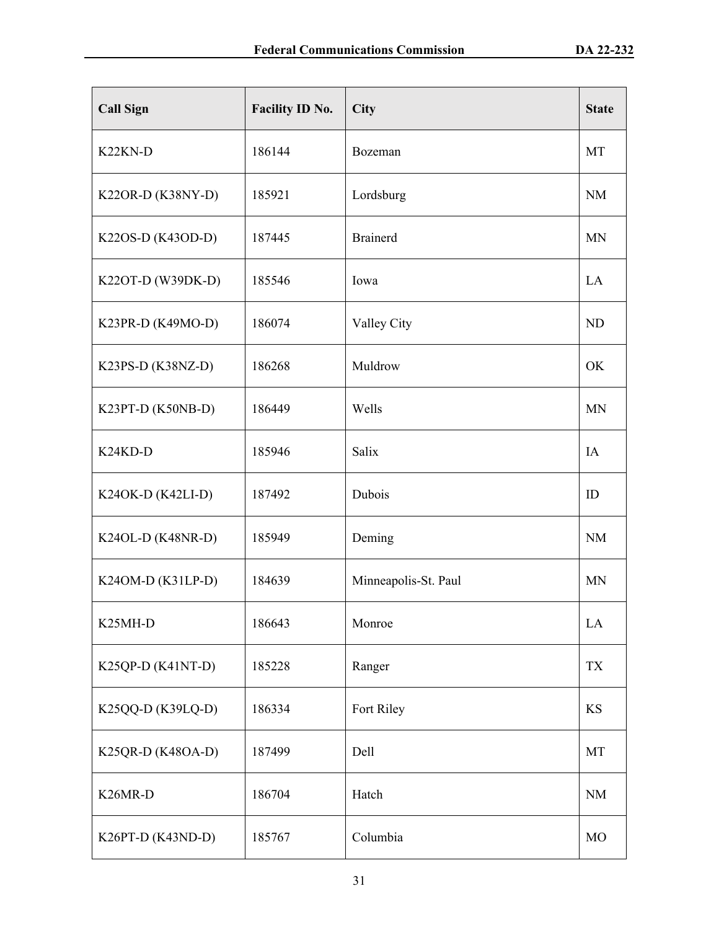| <b>Call Sign</b>                  | Facility ID No. | City                 | <b>State</b> |
|-----------------------------------|-----------------|----------------------|--------------|
| K <sub>22</sub> KN-D              | 186144          | Bozeman              | MT           |
| K22OR-D (K38NY-D)                 | 185921          | Lordsburg            | <b>NM</b>    |
| K22OS-D (K43OD-D)                 | 187445          | <b>Brainerd</b>      | <b>MN</b>    |
| K22OT-D (W39DK-D)                 | 185546          | Iowa                 | LA           |
| K23PR-D (K49MO-D)                 | 186074          | Valley City          | ND           |
| $K23PS-D (K38NZ-D)$               | 186268          | Muldrow              | OK           |
| K23PT-D (K50NB-D)                 | 186449          | Wells                | <b>MN</b>    |
| K <sub>24</sub> K <sub>D</sub> -D | 185946          | Salix                | IA           |
| $K24OK-D (K42LI-D)$               | 187492          | Dubois               | ID           |
| K24OL-D (K48NR-D)                 | 185949          | Deming               | NM           |
| K240M-D (K31LP-D)                 | 184639          | Minneapolis-St. Paul | <b>MN</b>    |
| K <sub>25</sub> MH-D              | 186643          | Monroe               | LA           |
| K25QP-D (K41NT-D)                 | 185228          | Ranger               | <b>TX</b>    |
| K25QQ-D (K39LQ-D)                 | 186334          | Fort Riley           | KS           |
| K25QR-D (K48OA-D)                 | 187499          | Dell                 | MT           |
| K <sub>26</sub> MR-D              | 186704          | Hatch                | <b>NM</b>    |
| K26PT-D (K43ND-D)                 | 185767          | Columbia             | MO           |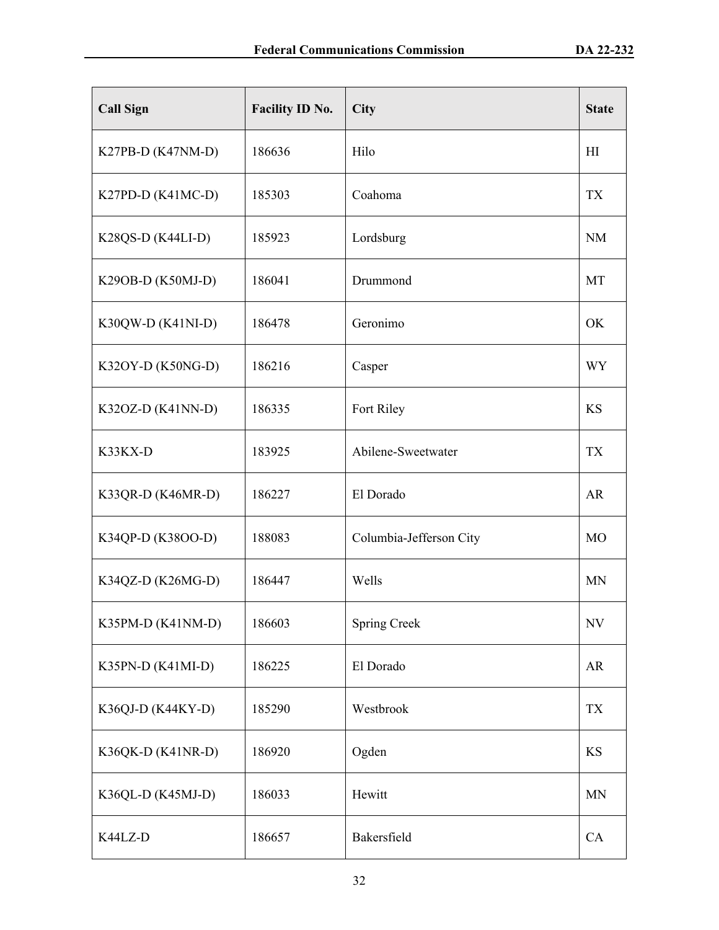| <b>Call Sign</b>    | Facility ID No. | City                    | <b>State</b>   |
|---------------------|-----------------|-------------------------|----------------|
| K27PB-D (K47NM-D)   | 186636          | Hilo                    | H <sub>I</sub> |
| K27PD-D (K41MC-D)   | 185303          | Coahoma                 | <b>TX</b>      |
| K28QS-D $(K44LI-D)$ | 185923          | Lordsburg               | <b>NM</b>      |
| K29OB-D (K50MJ-D)   | 186041          | Drummond                | MT             |
| $K30QW-D (K41NI-D)$ | 186478          | Geronimo                | OK             |
| K32OY-D (K50NG-D)   | 186216          | Casper                  | WY             |
| $K32OZ-D (K41NN-D)$ | 186335          | Fort Riley              | <b>KS</b>      |
| K33KX-D             | 183925          | Abilene-Sweetwater      | <b>TX</b>      |
| K33QR-D (K46MR-D)   | 186227          | El Dorado               | AR             |
| K34QP-D (K38OO-D)   | 188083          | Columbia-Jefferson City | M <sub>O</sub> |
| K34QZ-D (K26MG-D)   | 186447          | Wells                   | <b>MN</b>      |
| K35PM-D (K41NM-D)   | 186603          | <b>Spring Creek</b>     | NV             |
| K35PN-D (K41MI-D)   | 186225          | El Dorado               | AR             |
| K36QJ-D (K44KY-D)   | 185290          | Westbrook               | <b>TX</b>      |
| K36QK-D (K41NR-D)   | 186920          | Ogden                   | <b>KS</b>      |
| K36QL-D (K45MJ-D)   | 186033          | Hewitt                  | <b>MN</b>      |
| K44LZ-D             | 186657          | Bakersfield             | CA             |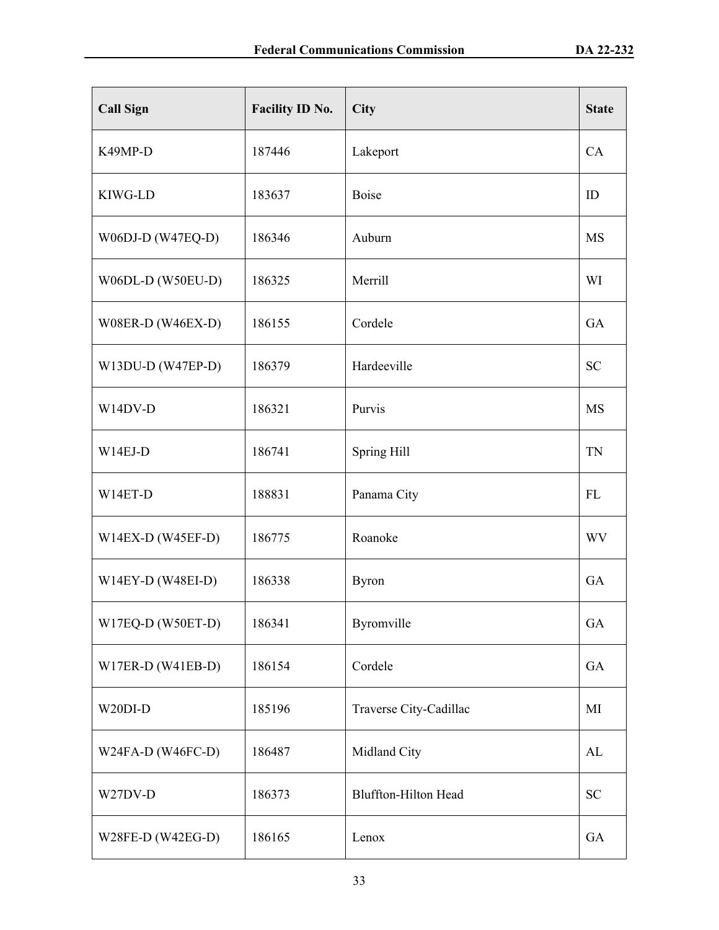| <b>Call Sign</b>    | Facility ID No. | City                        | <b>State</b> |
|---------------------|-----------------|-----------------------------|--------------|
| K49MP-D             | 187446          | Lakeport                    | CA           |
| KIWG-LD             | 183637          | <b>Boise</b>                | ID           |
| W06DJ-D (W47EQ-D)   | 186346          | Auburn                      | <b>MS</b>    |
| W06DL-D (W50EU-D)   | 186325          | Merrill                     | WI           |
| W08ER-D (W46EX-D)   | 186155          | Cordele                     | GA           |
| $W13DU-D (W47EP-D)$ | 186379          | Hardeeville                 | <b>SC</b>    |
| W14DV-D             | 186321          | Purvis                      | <b>MS</b>    |
| $W14EJ-D$           | 186741          | Spring Hill                 | TN           |
| W14ET-D             | 188831          | Panama City                 | <b>FL</b>    |
| $W14EX-D (W45EF-D)$ | 186775          | Roanoke                     | <b>WV</b>    |
| $W14EY-D (W48EI-D)$ | 186338          | <b>Byron</b>                | GA           |
| W17EQ-D (W50ET-D)   | 186341          | Byromville                  | GA           |
| W17ER-D (W41EB-D)   | 186154          | Cordele                     | GA           |
| W20DI-D             | 185196          | Traverse City-Cadillac      | MI           |
| W24FA-D (W46FC-D)   | 186487          | Midland City                | AL           |
| W27DV-D             | 186373          | <b>Bluffton-Hilton Head</b> | <b>SC</b>    |
| W28FE-D (W42EG-D)   | 186165          | Lenox                       | GA           |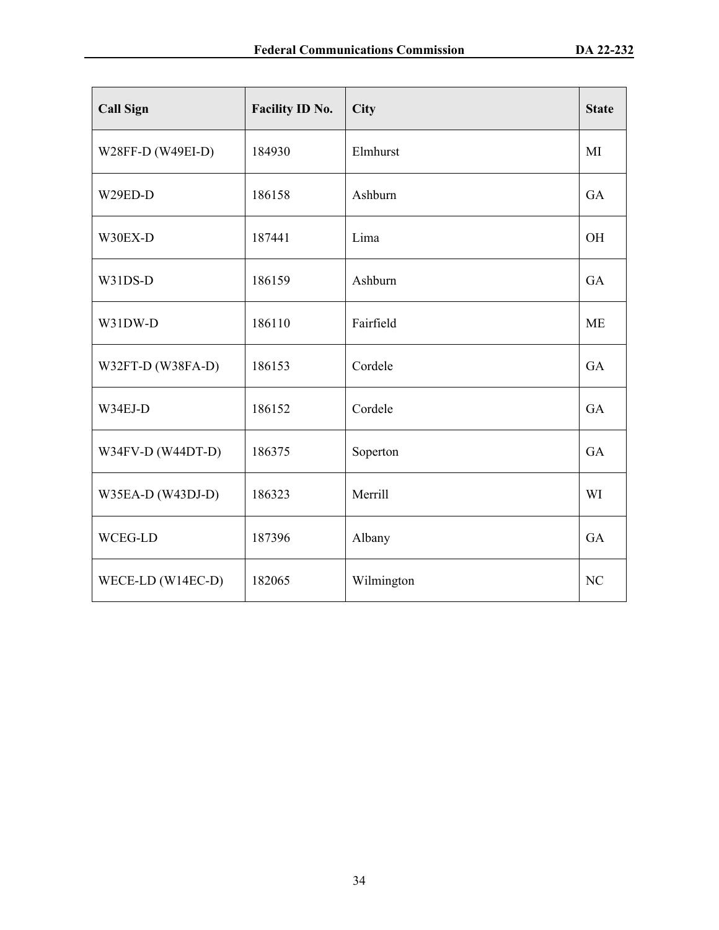| <b>Call Sign</b>  | <b>Facility ID No.</b> | City       | <b>State</b> |
|-------------------|------------------------|------------|--------------|
| W28FF-D (W49EI-D) | 184930                 | Elmhurst   | MI           |
| W29ED-D           | 186158                 | Ashburn    | GA           |
| W30EX-D           | 187441                 | Lima       | <b>OH</b>    |
| W31DS-D           | 186159                 | Ashburn    | <b>GA</b>    |
| W31DW-D           | 186110                 | Fairfield  | <b>ME</b>    |
| W32FT-D (W38FA-D) | 186153                 | Cordele    | GA           |
| W34EJ-D           | 186152                 | Cordele    | GA           |
| W34FV-D (W44DT-D) | 186375                 | Soperton   | GA           |
| W35EA-D (W43DJ-D) | 186323                 | Merrill    | WI           |
| WCEG-LD           | 187396                 | Albany     | GA           |
| WECE-LD (W14EC-D) | 182065                 | Wilmington | NC           |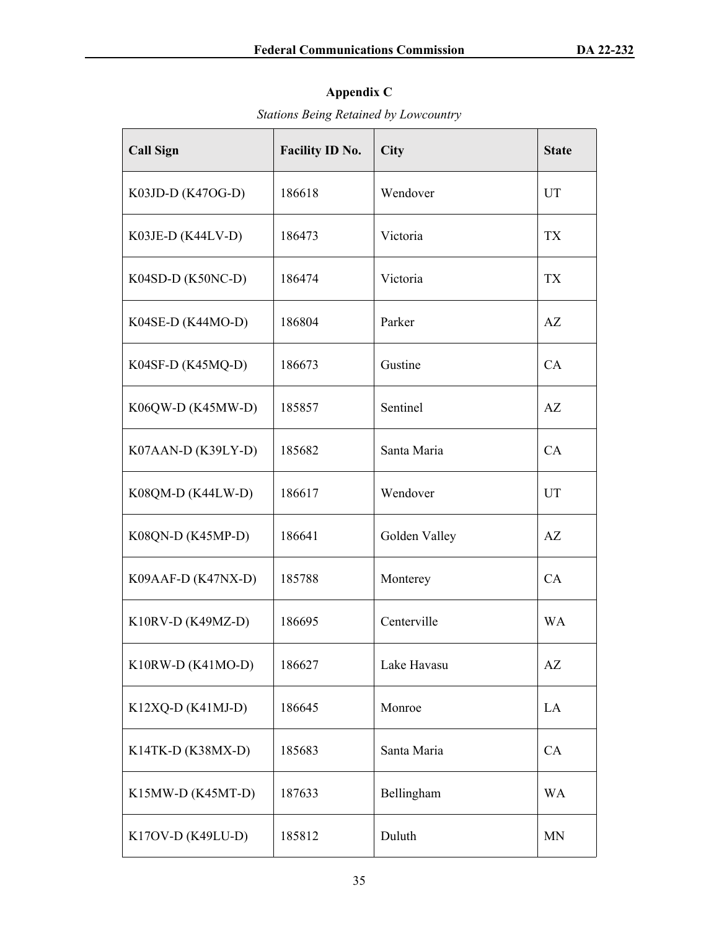# **Appendix C**

*Stations Being Retained by Lowcountry* 

| <b>Call Sign</b>    | <b>Facility ID No.</b> | City          | <b>State</b> |
|---------------------|------------------------|---------------|--------------|
| K03JD-D (K47OG-D)   | 186618                 | Wendover      | UT           |
| K03JE-D (K44LV-D)   | 186473                 | Victoria      | <b>TX</b>    |
| K04SD-D (K50NC-D)   | 186474                 | Victoria      | TX           |
| $K04SE-D (K44MO-D)$ | 186804                 | Parker        | AZ           |
| K04SF-D (K45MQ-D)   | 186673                 | Gustine       | CA           |
| K06QW-D (K45MW-D)   | 185857                 | Sentinel      | AZ           |
| K07AAN-D (K39LY-D)  | 185682                 | Santa Maria   | CA           |
| K08QM-D (K44LW-D)   | 186617                 | Wendover      | UT           |
| K08QN-D (K45MP-D)   | 186641                 | Golden Valley | AZ           |
| K09AAF-D (K47NX-D)  | 185788                 | Monterey      | CA           |
| $K10RV-D (K49MZ-D)$ | 186695                 | Centerville   | <b>WA</b>    |
| K10RW-D (K41MO-D)   | 186627                 | Lake Havasu   | AZ           |
| K12XQ-D (K41MJ-D)   | 186645                 | Monroe        | LA           |
| K14TK-D (K38MX-D)   | 185683                 | Santa Maria   | CA           |
| K15MW-D (K45MT-D)   | 187633                 | Bellingham    | <b>WA</b>    |
| K17OV-D (K49LU-D)   | 185812                 | Duluth        | <b>MN</b>    |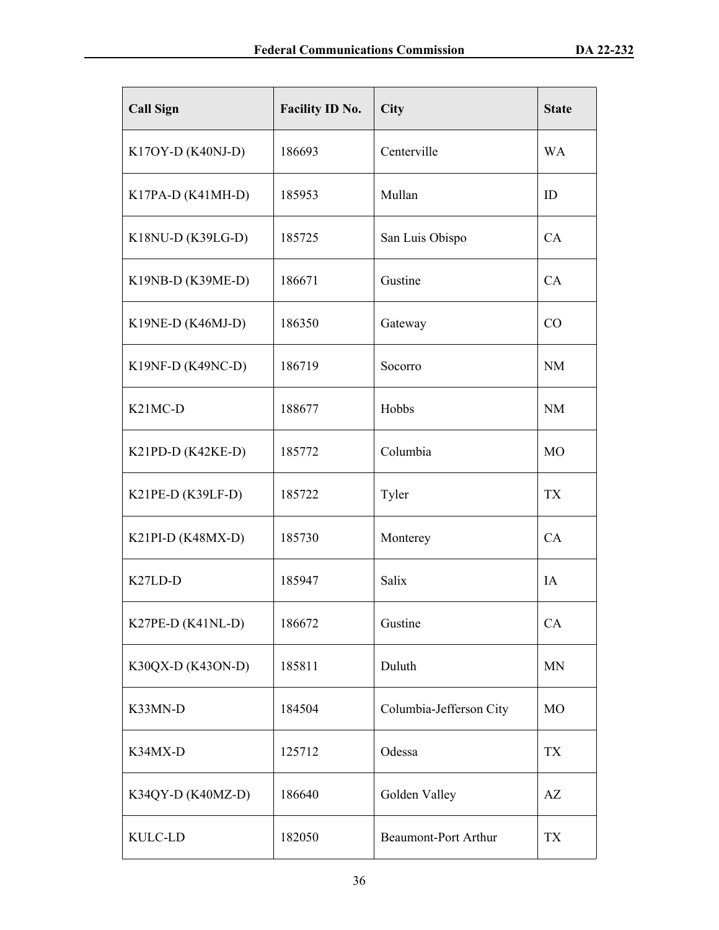| <b>Call Sign</b>                 | <b>Facility ID No.</b> | City                        | <b>State</b>   |
|----------------------------------|------------------------|-----------------------------|----------------|
| $K17OY-D (K40NJ-D)$              | 186693                 | Centerville                 | <b>WA</b>      |
| K17PA-D (K41MH-D)                | 185953                 | Mullan                      | ID             |
| K18NU-D (K39LG-D)                | 185725                 | San Luis Obispo             | CA             |
| K19NB-D (K39ME-D)                | 186671                 | Gustine                     | CA             |
| K19NE-D (K46MJ-D)                | 186350                 | Gateway                     | CO             |
| K19NF-D (K49NC-D)                | 186719                 | Socorro                     | <b>NM</b>      |
| K <sub>21</sub> MC <sub>-D</sub> | 188677                 | Hobbs                       | <b>NM</b>      |
| K21PD-D (K42KE-D)                | 185772                 | Columbia                    | <b>MO</b>      |
| $K21PE-D (K39LF-D)$              | 185722                 | Tyler                       | <b>TX</b>      |
| K21PI-D (K48MX-D)                | 185730                 | Monterey                    | CA             |
| K <sub>27</sub> LD-D             | 185947                 | Salix                       | IA             |
| K27PE-D (K41NL-D)                | 186672                 | Gustine                     | CA             |
| K30QX-D (K43ON-D)                | 185811                 | Duluth                      | <b>MN</b>      |
| K33MN-D                          | 184504                 | Columbia-Jefferson City     | M <sub>O</sub> |
| K34MX-D                          | 125712                 | Odessa                      | <b>TX</b>      |
| K34QY-D (K40MZ-D)                | 186640                 | Golden Valley               | AZ             |
| KULC-LD                          | 182050                 | <b>Beaumont-Port Arthur</b> | TX             |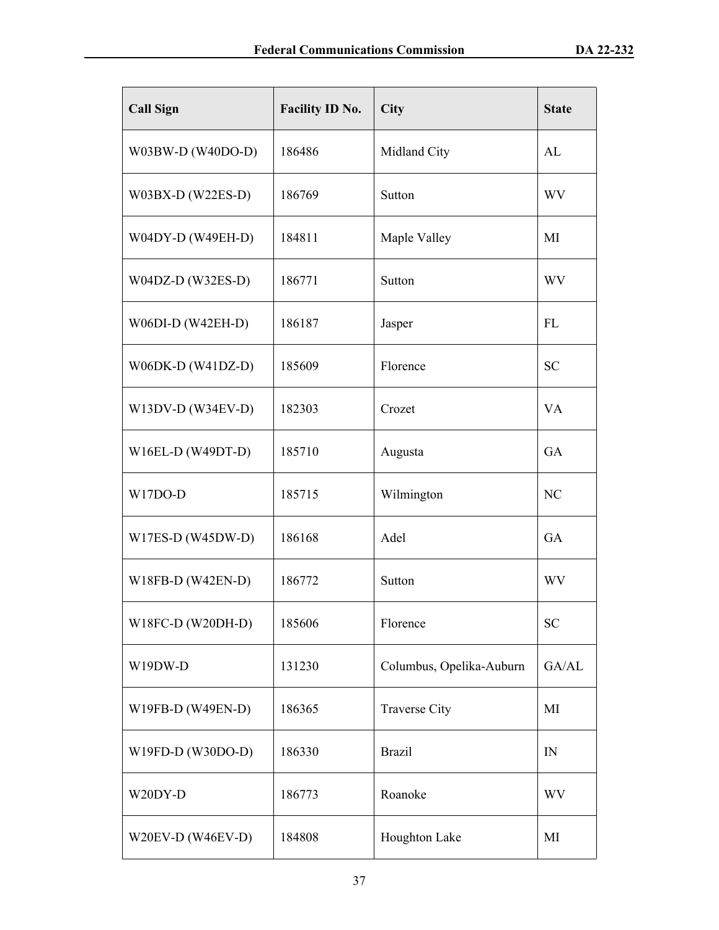| <b>Call Sign</b>    | <b>Facility ID No.</b> | City                     | <b>State</b> |
|---------------------|------------------------|--------------------------|--------------|
| W03BW-D (W40DO-D)   | 186486                 | Midland City             | AL           |
| $W03BX-D (W22ES-D)$ | 186769                 | Sutton                   | <b>WV</b>    |
| W04DY-D (W49EH-D)   | 184811                 | Maple Valley             | MI           |
| W04DZ-D (W32ES-D)   | 186771                 | Sutton                   | <b>WV</b>    |
| W06DI-D (W42EH-D)   | 186187                 | Jasper                   | FL           |
| W06DK-D (W41DZ-D)   | 185609                 | Florence                 | <b>SC</b>    |
| W13DV-D (W34EV-D)   | 182303                 | Crozet                   | <b>VA</b>    |
| W16EL-D (W49DT-D)   | 185710                 | Augusta                  | GA           |
| W17DO-D             | 185715                 | Wilmington               | NC           |
| W17ES-D (W45DW-D)   | 186168                 | Adel                     | GA           |
| W18FB-D (W42EN-D)   | 186772                 | Sutton                   | WV           |
| W18FC-D (W20DH-D)   | 185606                 | Florence                 | <b>SC</b>    |
| W19DW-D             | 131230                 | Columbus, Opelika-Auburn | GA/AL        |
| W19FB-D (W49EN-D)   | 186365                 | <b>Traverse City</b>     | MI           |
| W19FD-D (W30DO-D)   | 186330                 | <b>Brazil</b>            | IN           |
| W20DY-D             | 186773                 | Roanoke                  | <b>WV</b>    |
| W20EV-D (W46EV-D)   | 184808                 | Houghton Lake            | MI           |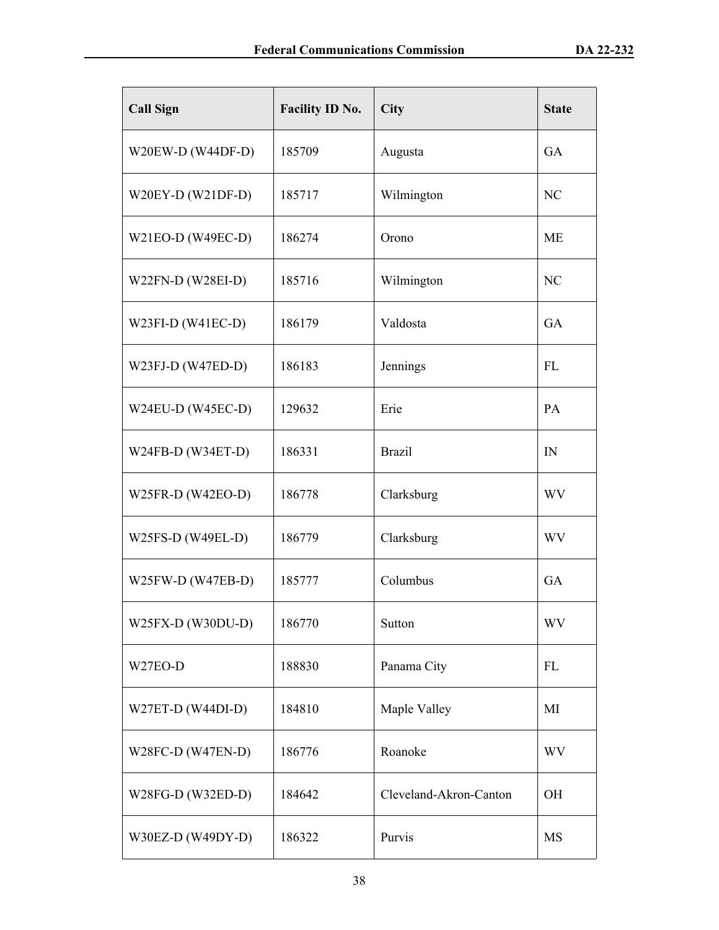| <b>Call Sign</b>  | <b>Facility ID No.</b> | City                   | <b>State</b> |
|-------------------|------------------------|------------------------|--------------|
| W20EW-D (W44DF-D) | 185709                 | Augusta                | <b>GA</b>    |
| W20EY-D (W21DF-D) | 185717                 | Wilmington             | NC           |
| W21EO-D (W49EC-D) | 186274                 | Orono                  | <b>ME</b>    |
| W22FN-D (W28EI-D) | 185716                 | Wilmington             | NC           |
| W23FI-D (W41EC-D) | 186179                 | Valdosta               | GA           |
| W23FJ-D (W47ED-D) | 186183                 | Jennings               | FL           |
| W24EU-D (W45EC-D) | 129632                 | Erie                   | PA           |
| W24FB-D (W34ET-D) | 186331                 | <b>Brazil</b>          | IN           |
| W25FR-D (W42EO-D) | 186778                 | Clarksburg             | <b>WV</b>    |
| W25FS-D (W49EL-D) | 186779                 | Clarksburg             | <b>WV</b>    |
| W25FW-D (W47EB-D) | 185777                 | Columbus               | GA           |
| W25FX-D (W30DU-D) | 186770                 | Sutton                 | WV           |
| W27EO-D           | 188830                 | Panama City            | FL           |
| W27ET-D (W44DI-D) | 184810                 | Maple Valley           | MI           |
| W28FC-D (W47EN-D) | 186776                 | Roanoke                | <b>WV</b>    |
| W28FG-D (W32ED-D) | 184642                 | Cleveland-Akron-Canton | <b>OH</b>    |
| W30EZ-D (W49DY-D) | 186322                 | Purvis                 | <b>MS</b>    |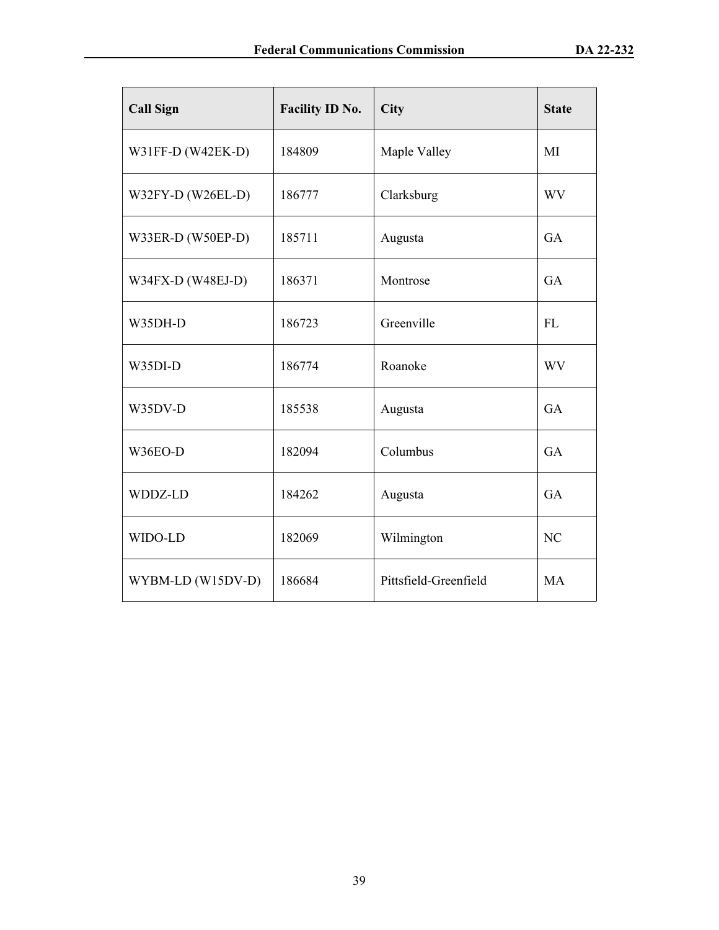| <b>Call Sign</b>  | Facility ID No. | City                  | <b>State</b> |
|-------------------|-----------------|-----------------------|--------------|
| W31FF-D (W42EK-D) | 184809          | Maple Valley          | MI           |
| W32FY-D (W26EL-D) | 186777          | Clarksburg            | <b>WV</b>    |
| W33ER-D (W50EP-D) | 185711          | Augusta               | <b>GA</b>    |
| W34FX-D (W48EJ-D) | 186371          | Montrose              | <b>GA</b>    |
| W35DH-D           | 186723          | Greenville            | FL           |
| W35DI-D           | 186774          | Roanoke               | <b>WV</b>    |
| W35DV-D           | 185538          | Augusta               | <b>GA</b>    |
| W36EO-D           | 182094          | Columbus              | <b>GA</b>    |
| WDDZ-LD           | 184262          | Augusta               | GA           |
| WIDO-LD           | 182069          | Wilmington            | NC           |
| WYBM-LD (W15DV-D) | 186684          | Pittsfield-Greenfield | <b>MA</b>    |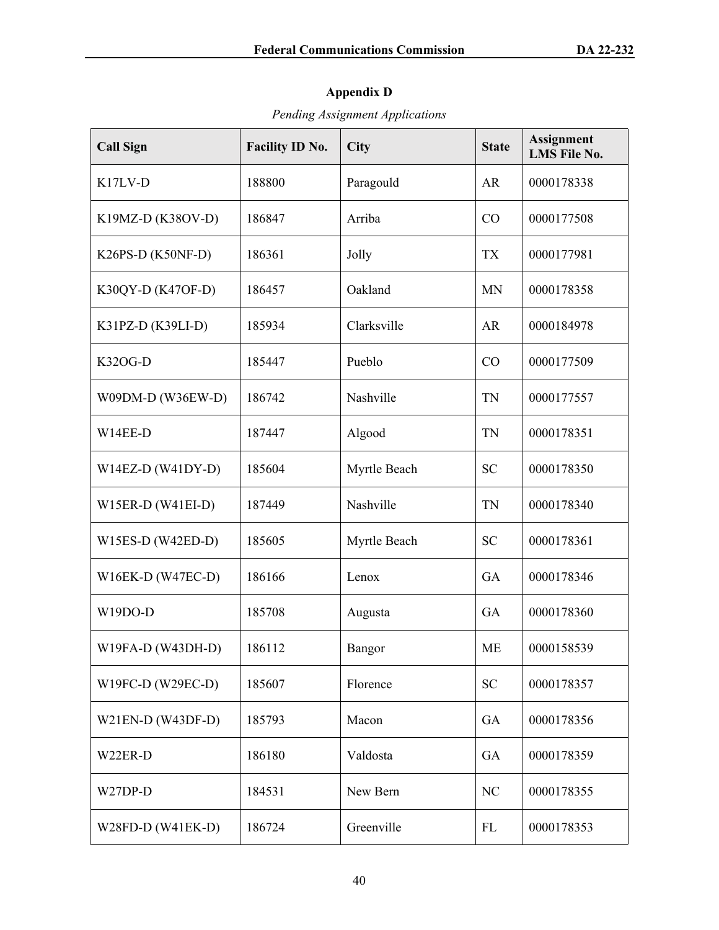# **Appendix D**

*Pending Assignment Applications*

| <b>Call Sign</b>    | <b>Facility ID No.</b> | City          | <b>State</b> | <b>Assignment</b><br><b>LMS File No.</b> |
|---------------------|------------------------|---------------|--------------|------------------------------------------|
| K17LV-D             | 188800                 | Paragould     | <b>AR</b>    | 0000178338                               |
| K19MZ-D (K38OV-D)   | 186847                 | Arriba        | CO           | 0000177508                               |
| K26PS-D (K50NF-D)   | 186361                 | Jolly         | <b>TX</b>    | 0000177981                               |
| K30QY-D (K47OF-D)   | 186457                 | Oakland       | <b>MN</b>    | 0000178358                               |
| K31PZ-D (K39LI-D)   | 185934                 | Clarksville   | <b>AR</b>    | 0000184978                               |
| K32OG-D             | 185447                 | Pueblo        | CO           | 0000177509                               |
| W09DM-D (W36EW-D)   | 186742                 | Nashville     | <b>TN</b>    | 0000177557                               |
| W14EE-D             | 187447                 | Algood        | <b>TN</b>    | 0000178351                               |
| W14EZ-D (W41DY-D)   | 185604                 | Myrtle Beach  | <b>SC</b>    | 0000178350                               |
| $W15ER-D (W41EI-D)$ | 187449                 | Nashville     | <b>TN</b>    | 0000178340                               |
| $W15ES-D (W42ED-D)$ | 185605                 | Myrtle Beach  | <b>SC</b>    | 0000178361                               |
| W16EK-D (W47EC-D)   | 186166                 | Lenox         | GA           | 0000178346                               |
| W19DO-D             | 185708                 | Augusta       | GA           | 0000178360                               |
| $W19FA-D (W43DH-D)$ | 186112                 | <b>Bangor</b> | <b>ME</b>    | 0000158539                               |
| W19FC-D (W29EC-D)   | 185607                 | Florence      | <b>SC</b>    | 0000178357                               |
| $W21EN-D (W43DF-D)$ | 185793                 | Macon         | GA           | 0000178356                               |
| W22ER-D             | 186180                 | Valdosta      | GA           | 0000178359                               |
| W27DP-D             | 184531                 | New Bern      | NC           | 0000178355                               |
| W28FD-D $(W41EK-D)$ | 186724                 | Greenville    | FL           | 0000178353                               |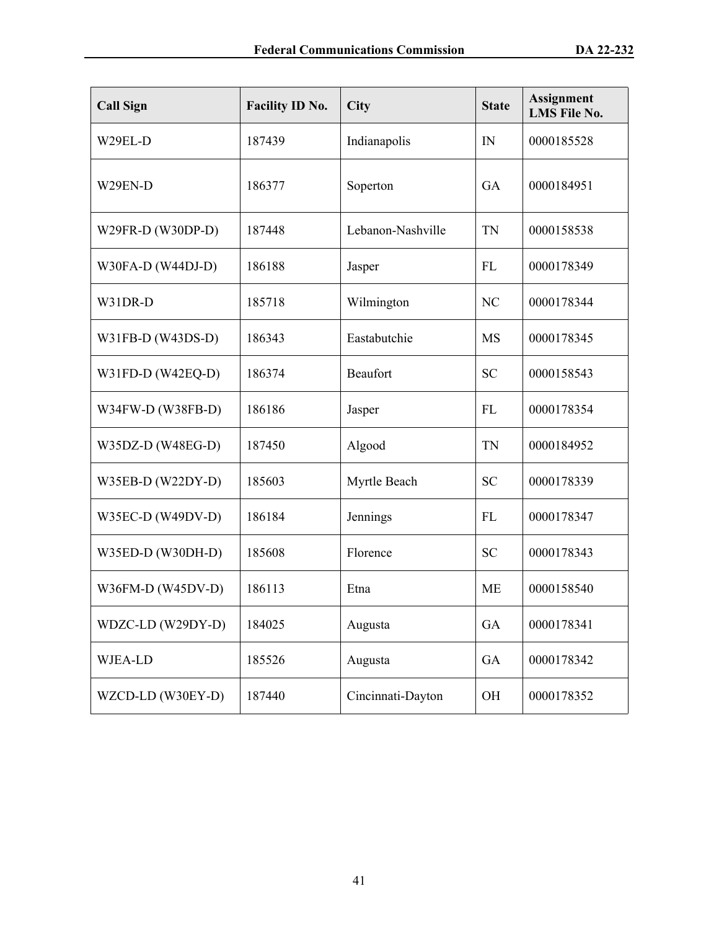| <b>Call Sign</b>  | <b>Facility ID No.</b> | City              | <b>State</b> | <b>Assignment</b><br><b>LMS File No.</b> |
|-------------------|------------------------|-------------------|--------------|------------------------------------------|
| W29EL-D           | 187439                 | Indianapolis      | IN           | 0000185528                               |
| W29EN-D           | 186377                 | Soperton          | GA           | 0000184951                               |
| W29FR-D (W30DP-D) | 187448                 | Lebanon-Nashville | <b>TN</b>    | 0000158538                               |
| W30FA-D (W44DJ-D) | 186188                 | Jasper            | FL           | 0000178349                               |
| W31DR-D           | 185718                 | Wilmington        | NC           | 0000178344                               |
| W31FB-D (W43DS-D) | 186343                 | Eastabutchie      | <b>MS</b>    | 0000178345                               |
| W31FD-D (W42EQ-D) | 186374                 | Beaufort          | <b>SC</b>    | 0000158543                               |
| W34FW-D (W38FB-D) | 186186                 | Jasper            | FL           | 0000178354                               |
| W35DZ-D (W48EG-D) | 187450                 | Algood            | <b>TN</b>    | 0000184952                               |
| W35EB-D (W22DY-D) | 185603                 | Myrtle Beach      | <b>SC</b>    | 0000178339                               |
| W35EC-D (W49DV-D) | 186184                 | Jennings          | FL           | 0000178347                               |
| W35ED-D (W30DH-D) | 185608                 | Florence          | <b>SC</b>    | 0000178343                               |
| W36FM-D (W45DV-D) | 186113                 | Etna              | <b>ME</b>    | 0000158540                               |
| WDZC-LD (W29DY-D) | 184025                 | Augusta           | GA           | 0000178341                               |
| WJEA-LD           | 185526                 | Augusta           | GA           | 0000178342                               |
| WZCD-LD (W30EY-D) | 187440                 | Cincinnati-Dayton | OH           | 0000178352                               |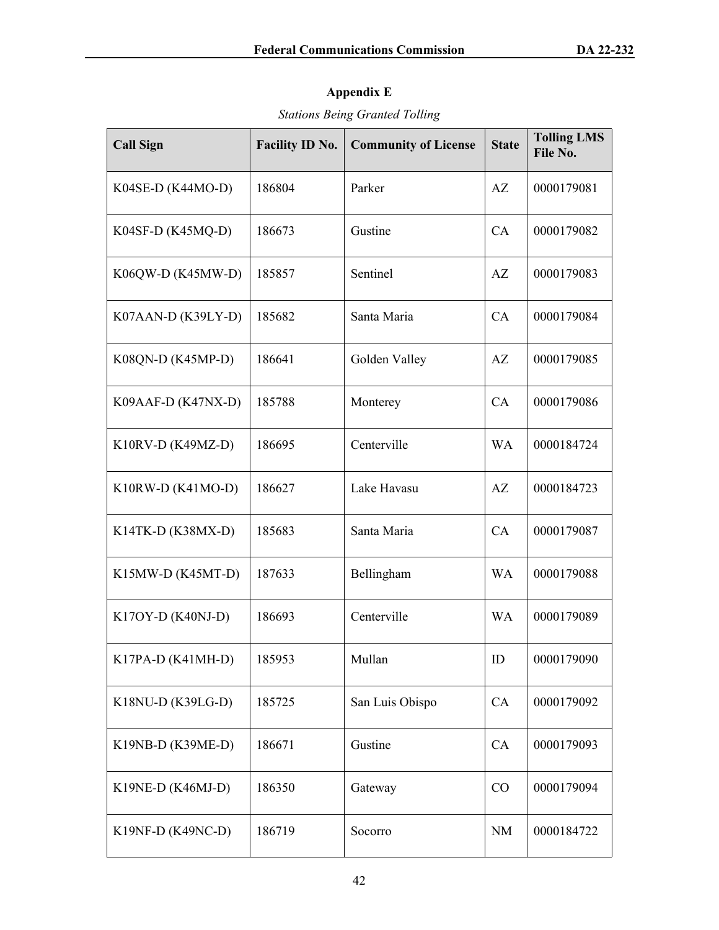# **Appendix E**

# *Stations Being Granted Tolling*

| <b>Call Sign</b>     | <b>Facility ID No.</b> | <b>Community of License</b> | <b>State</b> | <b>Tolling LMS</b><br>File No. |
|----------------------|------------------------|-----------------------------|--------------|--------------------------------|
| K04SE-D (K44MO-D)    | 186804                 | Parker                      | AZ           | 0000179081                     |
| $K04SF-D (K45MQ-D)$  | 186673                 | Gustine                     | CA           | 0000179082                     |
| K06QW-D (K45MW-D)    | 185857                 | Sentinel                    | AZ           | 0000179083                     |
| $K07AAN-D (K39LY-D)$ | 185682                 | Santa Maria                 | CA           | 0000179084                     |
| K08QN-D (K45MP-D)    | 186641                 | Golden Valley               | AZ           | 0000179085                     |
| $K09AAF-D (K47NX-D)$ | 185788                 | Monterey                    | CA           | 0000179086                     |
| $K10RV-D (K49MZ-D)$  | 186695                 | Centerville                 | <b>WA</b>    | 0000184724                     |
| K10RW-D (K41MO-D)    | 186627                 | Lake Havasu                 | AZ           | 0000184723                     |
| K14TK-D (K38MX-D)    | 185683                 | Santa Maria                 | CA           | 0000179087                     |
| $K15MW-D (K45MT-D)$  | 187633                 | Bellingham                  | <b>WA</b>    | 0000179088                     |
| $K17OY-D (K40NJ-D)$  | 186693                 | Centerville                 | <b>WA</b>    | 0000179089                     |
| K17PA-D (K41MH-D)    | 185953                 | Mullan                      | ID           | 0000179090                     |
| K18NU-D (K39LG-D)    | 185725                 | San Luis Obispo             | CA           | 0000179092                     |
| K19NB-D (K39ME-D)    | 186671                 | Gustine                     | CA           | 0000179093                     |
| K19NE-D (K46MJ-D)    | 186350                 | Gateway                     | CO           | 0000179094                     |
| K19NF-D (K49NC-D)    | 186719                 | Socorro                     | NM           | 0000184722                     |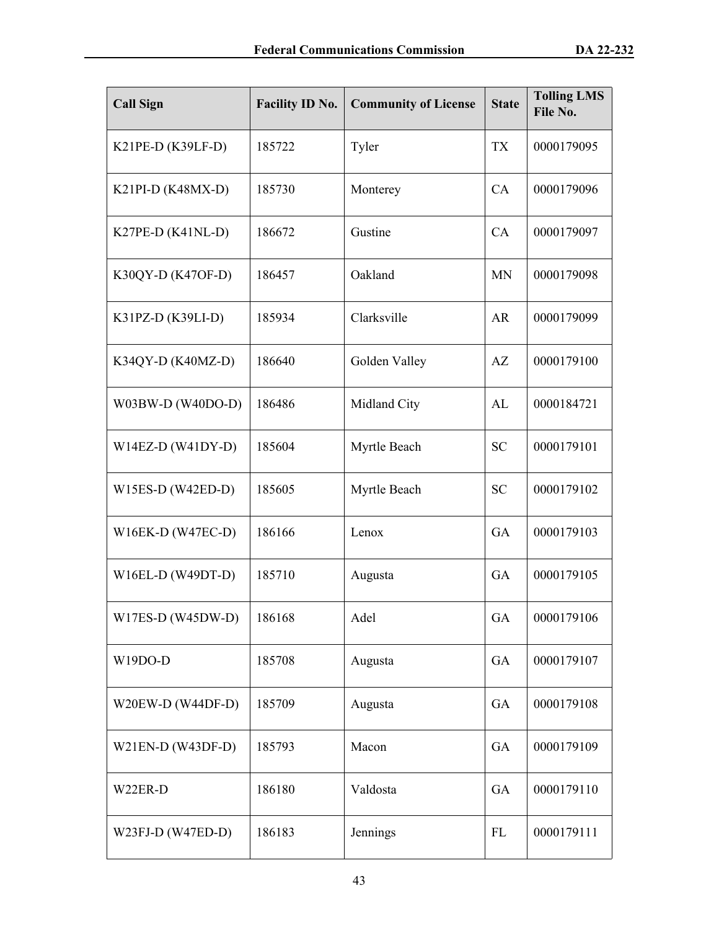| <b>Call Sign</b>    | <b>Facility ID No.</b> | <b>Community of License</b> | <b>State</b> | <b>Tolling LMS</b><br>File No. |
|---------------------|------------------------|-----------------------------|--------------|--------------------------------|
| $K21PE-D (K39LF-D)$ | 185722                 | Tyler                       | <b>TX</b>    | 0000179095                     |
| $K21PI-D (K48MX-D)$ | 185730                 | Monterey                    | CA           | 0000179096                     |
| K27PE-D (K41NL-D)   | 186672                 | Gustine                     | CA           | 0000179097                     |
| K30QY-D (K47OF-D)   | 186457                 | Oakland                     | <b>MN</b>    | 0000179098                     |
| $K31PZ-D (K39LI-D)$ | 185934                 | Clarksville                 | AR           | 0000179099                     |
| K34QY-D (K40MZ-D)   | 186640                 | Golden Valley               | AZ           | 0000179100                     |
| W03BW-D (W40DO-D)   | 186486                 | Midland City                | AL           | 0000184721                     |
| $W14EZ-D (W41DY-D)$ | 185604                 | Myrtle Beach                | <b>SC</b>    | 0000179101                     |
| $W15ES-D (W42ED-D)$ | 185605                 | Myrtle Beach                | <b>SC</b>    | 0000179102                     |
| $W16EK-D (W47EC-D)$ | 186166                 | Lenox                       | GA           | 0000179103                     |
| $W16EL-D (W49DT-D)$ | 185710                 | Augusta                     | GA           | 0000179105                     |
| $W17ES-D (W45DW-D)$ | 186168                 | Adel                        | GA           | 0000179106                     |
| W19DO-D             | 185708                 | Augusta                     | GA           | 0000179107                     |
| W20EW-D (W44DF-D)   | 185709                 | Augusta                     | GA           | 0000179108                     |
| $W21EN-D (W43DF-D)$ | 185793                 | Macon                       | GA           | 0000179109                     |
| W22ER-D             | 186180                 | Valdosta                    | GA           | 0000179110                     |
| W23FJ-D (W47ED-D)   | 186183                 | Jennings                    | FL           | 0000179111                     |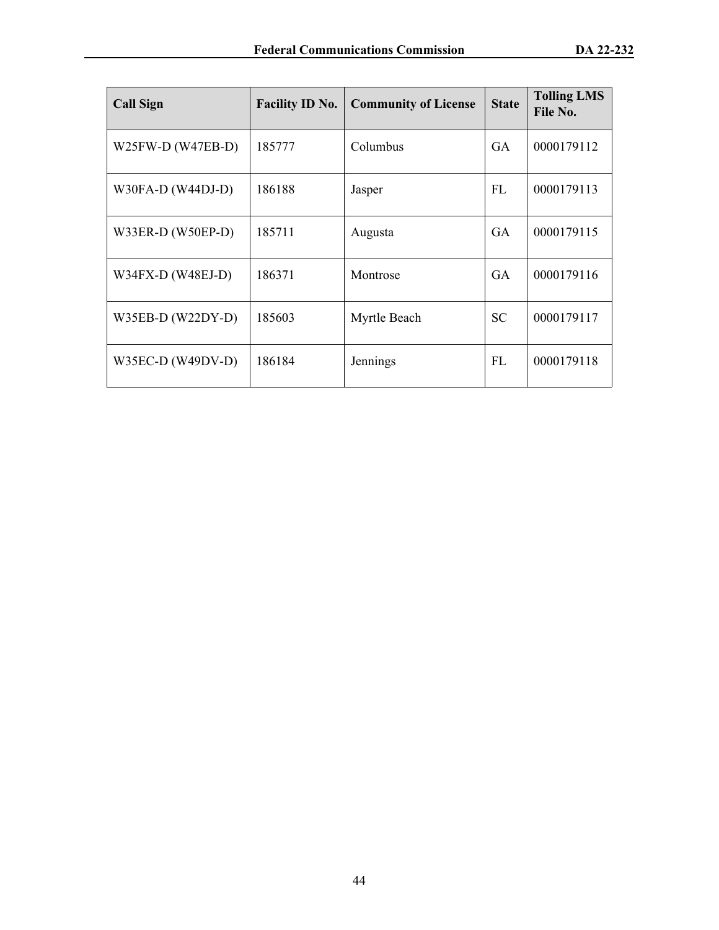| <b>Call Sign</b>    | <b>Facility ID No.</b> | <b>Community of License</b> | <b>State</b> | <b>Tolling LMS</b><br>File No. |
|---------------------|------------------------|-----------------------------|--------------|--------------------------------|
| $W25FW-D (W47EB-D)$ | 185777                 | Columbus                    | <b>GA</b>    | 0000179112                     |
| $W30FA-D (W44DJ-D)$ | 186188                 | Jasper                      | FL           | 0000179113                     |
| W33ER-D (W50EP-D)   | 185711                 | Augusta                     | <b>GA</b>    | 0000179115                     |
| $W34FX-D (W48EJ-D)$ | 186371                 | Montrose                    | <b>GA</b>    | 0000179116                     |
| $W35EB-D (W22DY-D)$ | 185603                 | Myrtle Beach                | <b>SC</b>    | 0000179117                     |
| $W35EC-D (W49DV-D)$ | 186184                 | Jennings                    | FL           | 0000179118                     |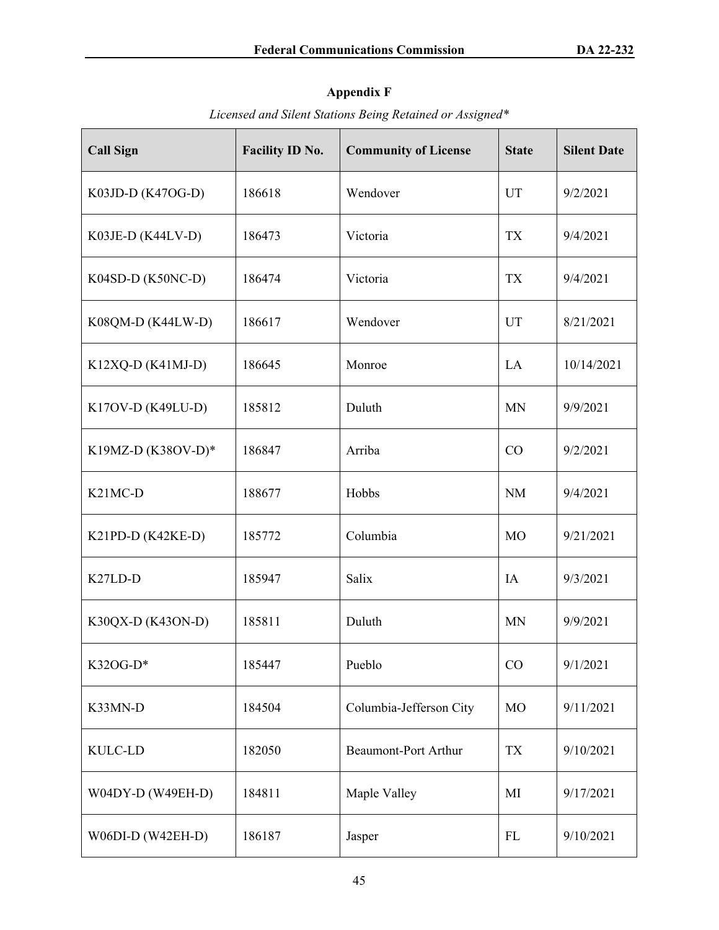# **Appendix F**

| <b>Call Sign</b>                 | <b>Facility ID No.</b> | <b>Community of License</b> | <b>State</b>   | <b>Silent Date</b> |
|----------------------------------|------------------------|-----------------------------|----------------|--------------------|
| K03JD-D (K47OG-D)                | 186618                 | Wendover                    | <b>UT</b>      | 9/2/2021           |
| K03JE-D (K44LV-D)                | 186473                 | Victoria                    | <b>TX</b>      | 9/4/2021           |
| K04SD-D (K50NC-D)                | 186474                 | Victoria                    | <b>TX</b>      | 9/4/2021           |
| K08QM-D (K44LW-D)                | 186617                 | Wendover                    | <b>UT</b>      | 8/21/2021          |
| K12XQ-D (K41MJ-D)                | 186645                 | Monroe                      | LA             | 10/14/2021         |
| K17OV-D (K49LU-D)                | 185812                 | Duluth                      | <b>MN</b>      | 9/9/2021           |
| K19MZ-D (K38OV-D)*               | 186847                 | Arriba                      | CO             | 9/2/2021           |
| K <sub>21</sub> MC <sub>-D</sub> | 188677                 | Hobbs                       | <b>NM</b>      | 9/4/2021           |
| K21PD-D (K42KE-D)                | 185772                 | Columbia                    | M <sub>O</sub> | 9/21/2021          |
| K <sub>27</sub> LD-D             | 185947                 | Salix                       | IA             | 9/3/2021           |
| K30QX-D (K43ON-D)                | 185811                 | Duluth                      | <b>MN</b>      | 9/9/2021           |
| K32OG-D*                         | 185447                 | Pueblo                      | CO             | 9/1/2021           |
| K33MN-D                          | 184504                 | Columbia-Jefferson City     | <b>MO</b>      | 9/11/2021          |
| <b>KULC-LD</b>                   | 182050                 | <b>Beaumont-Port Arthur</b> | <b>TX</b>      | 9/10/2021          |
| W04DY-D (W49EH-D)                | 184811                 | Maple Valley                | MI             | 9/17/2021          |
| W06DI-D (W42EH-D)                | 186187                 | Jasper                      | FL             | 9/10/2021          |

*Licensed and Silent Stations Being Retained or Assigned\**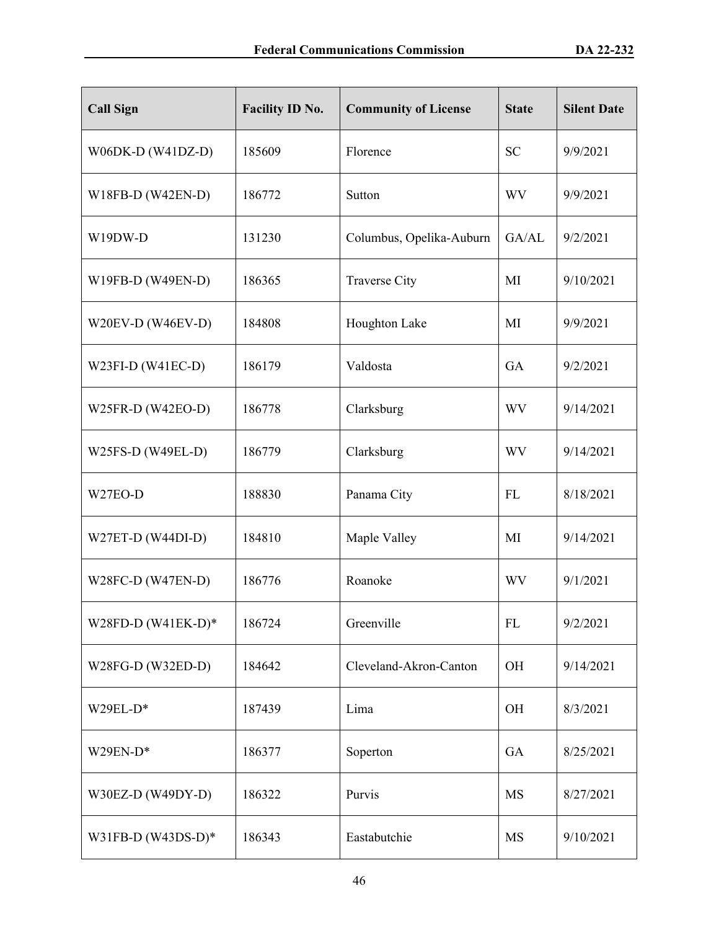| <b>Call Sign</b>     | <b>Facility ID No.</b> | <b>Community of License</b> | <b>State</b> | <b>Silent Date</b> |
|----------------------|------------------------|-----------------------------|--------------|--------------------|
| W06DK-D (W41DZ-D)    | 185609                 | Florence                    | <b>SC</b>    | 9/9/2021           |
| W18FB-D (W42EN-D)    | 186772                 | Sutton                      | WV           | 9/9/2021           |
| W19DW-D              | 131230                 | Columbus, Opelika-Auburn    | GA/AL        | 9/2/2021           |
| W19FB-D (W49EN-D)    | 186365                 | <b>Traverse City</b>        | MI           | 9/10/2021          |
| W20EV-D (W46EV-D)    | 184808                 | Houghton Lake               | MI           | 9/9/2021           |
| $W23FI-D (W41EC-D)$  | 186179                 | Valdosta                    | GA           | 9/2/2021           |
| W25FR-D (W42EO-D)    | 186778                 | Clarksburg                  | WV           | 9/14/2021          |
| W25FS-D (W49EL-D)    | 186779                 | Clarksburg                  | <b>WV</b>    | 9/14/2021          |
| W <sub>27</sub> EO-D | 188830                 | Panama City                 | FL           | 8/18/2021          |
| W27ET-D (W44DI-D)    | 184810                 | Maple Valley                | MI           | 9/14/2021          |
| W28FC-D (W47EN-D)    | 186776                 | Roanoke                     | <b>WV</b>    | 9/1/2021           |
| W28FD-D $(W41EK-D)*$ | 186724                 | Greenville                  | <b>FL</b>    | 9/2/2021           |
| W28FG-D (W32ED-D)    | 184642                 | Cleveland-Akron-Canton      | OH           | 9/14/2021          |
| W29EL-D*             | 187439                 | Lima                        | <b>OH</b>    | 8/3/2021           |
| $W29EN-D*$           | 186377                 | Soperton                    | GA           | 8/25/2021          |
| W30EZ-D (W49DY-D)    | 186322                 | Purvis                      | <b>MS</b>    | 8/27/2021          |
| W31FB-D $(W43DS-D)*$ | 186343                 | Eastabutchie                | MS           | 9/10/2021          |